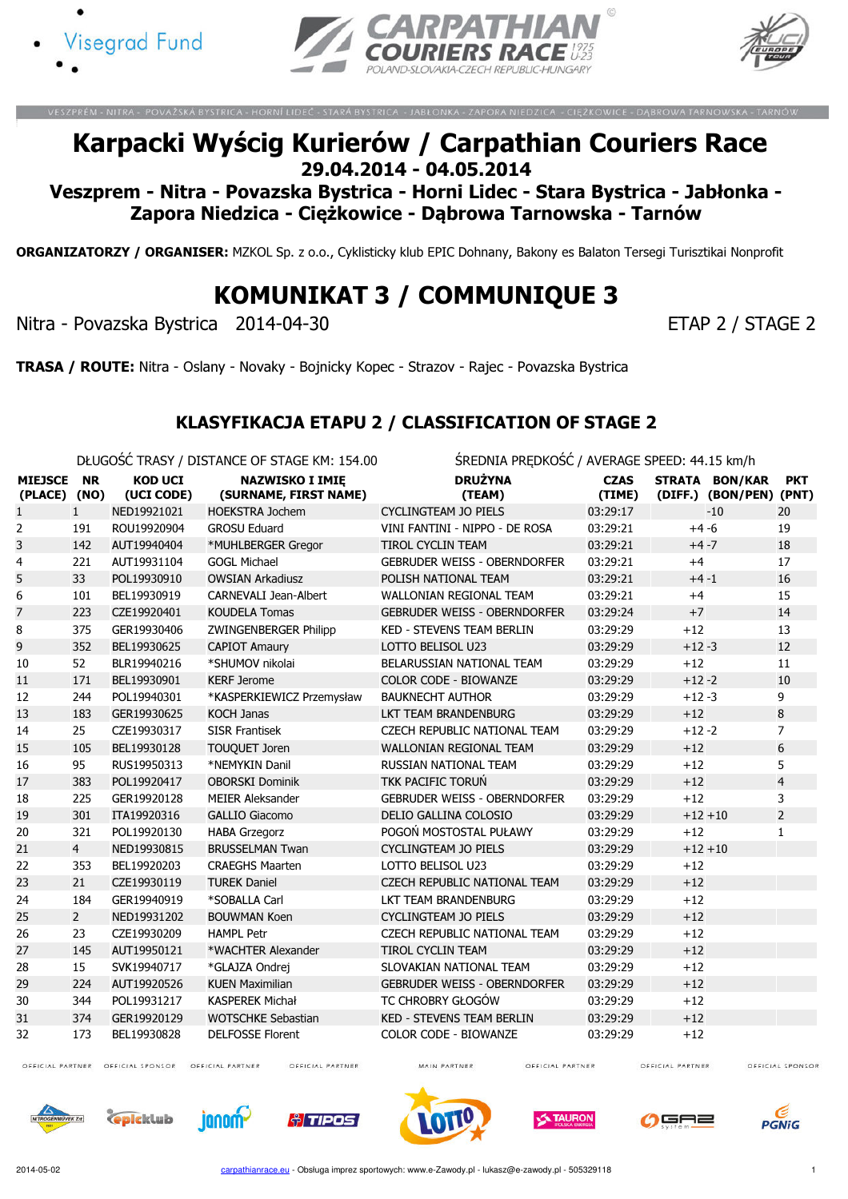





## Karpacki Wyścig Kurierów / Carpathian Couriers Race 29.04.2014 - 04.05.2014

Veszprem - Nitra - Povazska Bystrica - Horni Lidec - Stara Bystrica - Jabłonka - Zapora Niedzica - Ciężkowice - Dąbrowa Tarnowska - Tarnów

ORGANIZATORZY / ORGANISER: MZKOL Sp. z o.o., Cyklisticky klub EPIC Dohnany, Bakony es Balaton Tersegi Turisztikai Nonprofit

KOMUNIKAT 3 / COMMUNIQUE 3

Nitra - Povazska Bystrica 2014-04-30 ETAP 2 / STAGE 2

TRASA / ROUTE: Nitra - Oslany - Novaky - Bojnicky Kopec - Strazov - Rajec - Povazska Bystrica

### KLASYFIKACJA ETAPU 2 / CLASSIFICATION OF STAGE 2

DŁUGOŚĆ TRASY / DISTANCE OF STAGE KM: 154.00 ŚREDNIA PRĘDKOŚĆ / AVERAGE SPEED: 44.15 km/h

|                                |                |                              | <b>PLOODS</b> TIMPIT TO TAINCE OF STADE NEED TOO | J                                   |                       |           |                                                  |                |
|--------------------------------|----------------|------------------------------|--------------------------------------------------|-------------------------------------|-----------------------|-----------|--------------------------------------------------|----------------|
| <b>MIEJSCE</b><br>(PLACE) (NO) | <b>NR</b>      | <b>KOD UCI</b><br>(UCI CODE) | <b>NAZWISKO I IMIE</b><br>(SURNAME, FIRST NAME)  | <b>DRUŻYNA</b><br>(TEAM)            | <b>CZAS</b><br>(TIME) |           | <b>STRATA BON/KAR</b><br>(DIFF.) (BON/PEN) (PNT) | <b>PKT</b>     |
| $\mathbf{1}$                   | $\mathbf{1}$   | NED19921021                  | <b>HOEKSTRA Jochem</b>                           | CYCLINGTEAM JO PIELS                | 03:29:17              |           | $-10$                                            | 20             |
| 2                              | 191            | ROU19920904                  | <b>GROSU Eduard</b>                              | VINI FANTINI - NIPPO - DE ROSA      | 03:29:21              | $+4 -6$   |                                                  | 19             |
| 3                              | 142            | AUT19940404                  | *MUHLBERGER Gregor                               | TIROL CYCLIN TEAM                   | 03:29:21              | $+4 -7$   |                                                  | 18             |
| 4                              | 221            | AUT19931104                  | <b>GOGL Michael</b>                              | <b>GEBRUDER WEISS - OBERNDORFER</b> | 03:29:21              | $+4$      |                                                  | 17             |
| 5                              | 33             | POL19930910                  | <b>OWSIAN Arkadiusz</b>                          | POLISH NATIONAL TEAM                | 03:29:21              | $+4 -1$   |                                                  | 16             |
| 6                              | 101            | BEL19930919                  | <b>CARNEVALI Jean-Albert</b>                     | <b>WALLONIAN REGIONAL TEAM</b>      | 03:29:21              | $+4$      |                                                  | 15             |
| 7                              | 223            | CZE19920401                  | <b>KOUDELA Tomas</b>                             | <b>GEBRUDER WEISS - OBERNDORFER</b> | 03:29:24              | $+7$      |                                                  | 14             |
| 8                              | 375            | GER19930406                  | ZWINGENBERGER Philipp                            | <b>KED - STEVENS TEAM BERLIN</b>    | 03:29:29              | $+12$     |                                                  | 13             |
| 9                              | 352            | BEL19930625                  | <b>CAPIOT Amaury</b>                             | LOTTO BELISOL U23                   | 03:29:29              | $+12 - 3$ |                                                  | 12             |
| 10                             | 52             | BLR19940216                  | *SHUMOV nikolai                                  | BELARUSSIAN NATIONAL TEAM           | 03:29:29              | $+12$     |                                                  | 11             |
| 11                             | 171            | BEL19930901                  | <b>KERF Jerome</b>                               | <b>COLOR CODE - BIOWANZE</b>        | 03:29:29              | $+12 - 2$ |                                                  | 10             |
| 12                             | 244            | POL19940301                  | *KASPERKIEWICZ Przemysław                        | <b>BAUKNECHT AUTHOR</b>             | 03:29:29              | $+12 - 3$ |                                                  | 9              |
| 13                             | 183            | GER19930625                  | <b>KOCH Janas</b>                                | LKT TEAM BRANDENBURG                | 03:29:29              | $+12$     |                                                  | 8              |
| 14                             | 25             | CZE19930317                  | <b>SISR Frantisek</b>                            | CZECH REPUBLIC NATIONAL TEAM        | 03:29:29              | $+12 - 2$ |                                                  | $\overline{7}$ |
| 15                             | 105            | BEL19930128                  | <b>TOUQUET Joren</b>                             | <b>WALLONIAN REGIONAL TEAM</b>      | 03:29:29              | $+12$     |                                                  | 6              |
| 16                             | 95             | RUS19950313                  | *NEMYKIN Danil                                   | <b>RUSSIAN NATIONAL TEAM</b>        | 03:29:29              | $+12$     |                                                  | 5              |
| 17                             | 383            | POL19920417                  | <b>OBORSKI Dominik</b>                           | <b>TKK PACIFIC TORUŃ</b>            | 03:29:29              | $+12$     |                                                  | $\overline{4}$ |
| 18                             | 225            | GER19920128                  | <b>MEIER Aleksander</b>                          | <b>GEBRUDER WEISS - OBERNDORFER</b> | 03:29:29              | $+12$     |                                                  | $\overline{3}$ |
| 19                             | 301            | ITA19920316                  | <b>GALLIO Giacomo</b>                            | DELIO GALLINA COLOSIO               | 03:29:29              | $+12 +10$ |                                                  | $\overline{2}$ |
| 20                             | 321            | POL19920130                  | <b>HABA Grzegorz</b>                             | POGOŃ MOSTOSTAL PUŁAWY              | 03:29:29              | $+12$     |                                                  | $\mathbf{1}$   |
| 21                             | $\overline{4}$ | NED19930815                  | <b>BRUSSELMAN Twan</b>                           | <b>CYCLINGTEAM JO PIELS</b>         | 03:29:29              | $+12 +10$ |                                                  |                |
| 22                             | 353            | BEL19920203                  | <b>CRAEGHS Maarten</b>                           | LOTTO BELISOL U23                   | 03:29:29              | $+12$     |                                                  |                |
| 23                             | 21             | CZE19930119                  | <b>TUREK Daniel</b>                              | <b>CZECH REPUBLIC NATIONAL TEAM</b> | 03:29:29              | $+12$     |                                                  |                |
| 24                             | 184            | GER19940919                  | *SOBALLA Carl                                    | LKT TEAM BRANDENBURG                | 03:29:29              | $+12$     |                                                  |                |
| 25                             | $\overline{2}$ | NED19931202                  | <b>BOUWMAN Koen</b>                              | <b>CYCLINGTEAM JO PIELS</b>         | 03:29:29              | $+12$     |                                                  |                |
| 26                             | 23             | CZE19930209                  | <b>HAMPL Petr</b>                                | <b>CZECH REPUBLIC NATIONAL TEAM</b> | 03:29:29              | $+12$     |                                                  |                |
| 27                             | 145            | AUT19950121                  | *WACHTER Alexander                               | <b>TIROL CYCLIN TEAM</b>            | 03:29:29              | $+12$     |                                                  |                |
| 28                             | 15             | SVK19940717                  | *GLAJZA Ondrej                                   | SLOVAKIAN NATIONAL TEAM             | 03:29:29              | $+12$     |                                                  |                |
| 29                             | 224            | AUT19920526                  | <b>KUEN Maximilian</b>                           | <b>GEBRUDER WEISS - OBERNDORFER</b> | 03:29:29              | $+12$     |                                                  |                |
| 30                             | 344            | POL19931217                  | <b>KASPEREK Michał</b>                           | TC CHROBRY GŁOGÓW                   | 03:29:29              | $+12$     |                                                  |                |
| 31                             | 374            | GER19920129                  | <b>WOTSCHKE Sebastian</b>                        | <b>KED - STEVENS TEAM BERLIN</b>    | 03:29:29              | $+12$     |                                                  |                |
| 32                             | 173            | BEL19930828                  | <b>DELFOSSE Florent</b>                          | <b>COLOR CODE - BIOWANZE</b>        | 03:29:29              | $+12$     |                                                  |                |

OFFICIAL PARTNER OFFICIAL SPONSOR OFFICIAL PARTNER

OFFICIAL PARTNER

MAIN PARTNER

OFFICIAL PARTNER

OFFICIAL PARTNER OFFICIAL SPONSOR











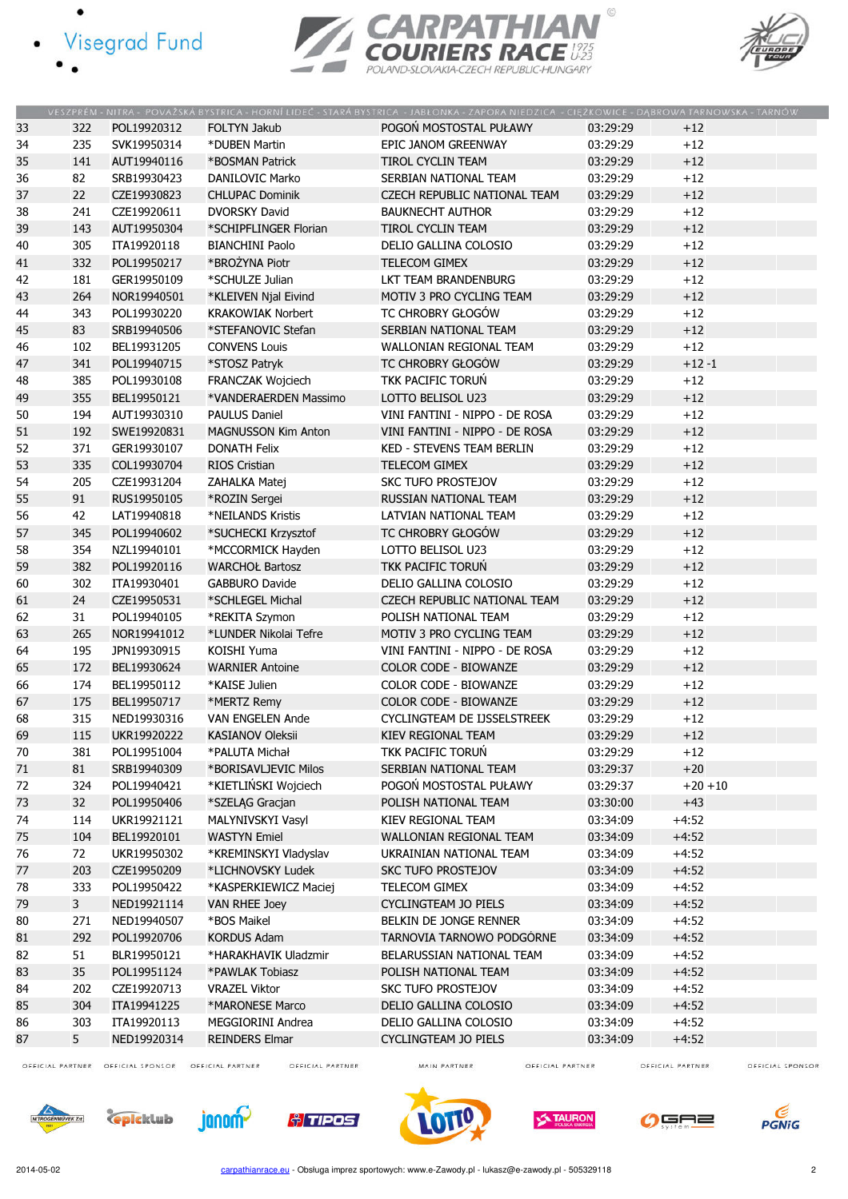- · Visegrad Fund
	-





|    |                |             |                            | VESZPRÉM - NITRA - POVAŽSKÁ BYSTRICA - HORNÍ LIDEČ - STARÁ BYSTRICA - JABŁONKA - ZAPORA NIEDZICA - CIEŻKOWICE - DABROWA TARNOWSKA - TARNÓW |          |            |
|----|----------------|-------------|----------------------------|--------------------------------------------------------------------------------------------------------------------------------------------|----------|------------|
| 33 | 322            | POL19920312 | <b>FOLTYN Jakub</b>        | POGOŃ MOSTOSTAL PUŁAWY                                                                                                                     | 03:29:29 | $+12$      |
| 34 | 235            | SVK19950314 | *DUBEN Martin              | EPIC JANOM GREENWAY                                                                                                                        | 03:29:29 | $+12$      |
| 35 | 141            | AUT19940116 | *BOSMAN Patrick            | <b>TIROL CYCLIN TEAM</b>                                                                                                                   | 03:29:29 | $+12$      |
| 36 | 82             | SRB19930423 | DANILOVIC Marko            | SERBIAN NATIONAL TEAM                                                                                                                      | 03:29:29 | $+12$      |
| 37 | 22             | CZE19930823 | <b>CHLUPAC Dominik</b>     | CZECH REPUBLIC NATIONAL TEAM                                                                                                               | 03:29:29 | $+12$      |
| 38 | 241            | CZE19920611 | <b>DVORSKY David</b>       | <b>BAUKNECHT AUTHOR</b>                                                                                                                    | 03:29:29 | $+12$      |
| 39 | 143            | AUT19950304 | *SCHIPFLINGER Florian      | TIROL CYCLIN TEAM                                                                                                                          | 03:29:29 | $+12$      |
| 40 | 305            | ITA19920118 | <b>BIANCHINI Paolo</b>     | DELIO GALLINA COLOSIO                                                                                                                      | 03:29:29 | $+12$      |
| 41 | 332            | POL19950217 | *BROŻYNA Piotr             | <b>TELECOM GIMEX</b>                                                                                                                       | 03:29:29 | $+12$      |
| 42 | 181            | GER19950109 | *SCHULZE Julian            | LKT TEAM BRANDENBURG                                                                                                                       | 03:29:29 | $+12$      |
| 43 | 264            | NOR19940501 | *KLEIVEN Njal Eivind       | MOTIV 3 PRO CYCLING TEAM                                                                                                                   | 03:29:29 | $+12$      |
| 44 | 343            | POL19930220 | <b>KRAKOWIAK Norbert</b>   | TC CHROBRY GŁOGÓW                                                                                                                          | 03:29:29 | $+12$      |
| 45 | 83             | SRB19940506 | *STEFANOVIC Stefan         | SERBIAN NATIONAL TEAM                                                                                                                      | 03:29:29 | $+12$      |
| 46 | 102            | BEL19931205 | <b>CONVENS Louis</b>       | WALLONIAN REGIONAL TEAM                                                                                                                    | 03:29:29 | $+12$      |
| 47 | 341            | POL19940715 | *STOSZ Patryk              | TC CHROBRY GŁOGÓW                                                                                                                          | 03:29:29 | $+12 - 1$  |
| 48 | 385            | POL19930108 | FRANCZAK Wojciech          | TKK PACIFIC TORUN                                                                                                                          | 03:29:29 | $+12$      |
| 49 | 355            | BEL19950121 | *VANDERAERDEN Massimo      | LOTTO BELISOL U23                                                                                                                          | 03:29:29 | $+12$      |
| 50 | 194            | AUT19930310 | <b>PAULUS Daniel</b>       | VINI FANTINI - NIPPO - DE ROSA                                                                                                             | 03:29:29 | $+12$      |
|    | 192            | SWE19920831 | <b>MAGNUSSON Kim Anton</b> | VINI FANTINI - NIPPO - DE ROSA                                                                                                             | 03:29:29 | $+12$      |
| 51 |                |             |                            |                                                                                                                                            |          |            |
| 52 | 371            | GER19930107 | <b>DONATH Felix</b>        | <b>KED - STEVENS TEAM BERLIN</b>                                                                                                           | 03:29:29 | $+12$      |
| 53 | 335            | COL19930704 | <b>RIOS Cristian</b>       | <b>TELECOM GIMEX</b>                                                                                                                       | 03:29:29 | $+12$      |
| 54 | 205            | CZE19931204 | ZAHALKA Matej              | <b>SKC TUFO PROSTEJOV</b>                                                                                                                  | 03:29:29 | $+12$      |
| 55 | 91             | RUS19950105 | *ROZIN Sergei              | RUSSIAN NATIONAL TEAM                                                                                                                      | 03:29:29 | $+12$      |
| 56 | 42             | LAT19940818 | *NEILANDS Kristis          | LATVIAN NATIONAL TEAM                                                                                                                      | 03:29:29 | $+12$      |
| 57 | 345            | POL19940602 | *SUCHECKI Krzysztof        | TC CHROBRY GŁOGÓW                                                                                                                          | 03:29:29 | $+12$      |
| 58 | 354            | NZL19940101 | *MCCORMICK Hayden          | LOTTO BELISOL U23                                                                                                                          | 03:29:29 | $+12$      |
| 59 | 382            | POL19920116 | <b>WARCHOŁ Bartosz</b>     | TKK PACIFIC TORUŃ                                                                                                                          | 03:29:29 | $+12$      |
| 60 | 302            | ITA19930401 | <b>GABBURO Davide</b>      | DELIO GALLINA COLOSIO                                                                                                                      | 03:29:29 | $+12$      |
| 61 | 24             | CZE19950531 | *SCHLEGEL Michal           | CZECH REPUBLIC NATIONAL TEAM                                                                                                               | 03:29:29 | $+12$      |
| 62 | 31             | POL19940105 | *REKITA Szymon             | POLISH NATIONAL TEAM                                                                                                                       | 03:29:29 | $+12$      |
| 63 | 265            | NOR19941012 | *LUNDER Nikolai Tefre      | MOTIV 3 PRO CYCLING TEAM                                                                                                                   | 03:29:29 | $+12$      |
| 64 | 195            | JPN19930915 | KOISHI Yuma                | VINI FANTINI - NIPPO - DE ROSA                                                                                                             | 03:29:29 | $+12$      |
| 65 | 172            | BEL19930624 | <b>WARNIER Antoine</b>     | COLOR CODE - BIOWANZE                                                                                                                      | 03:29:29 | $+12$      |
| 66 | 174            | BEL19950112 | *KAISE Julien              | COLOR CODE - BIOWANZE                                                                                                                      | 03:29:29 | $+12$      |
| 67 | 175            | BEL19950717 | *MERTZ Remy                | <b>COLOR CODE - BIOWANZE</b>                                                                                                               | 03:29:29 | $+12$      |
| 68 | 315            | NED19930316 | <b>VAN ENGELEN Ande</b>    | CYCLINGTEAM DE IJSSELSTREEK                                                                                                                | 03:29:29 | $+12$      |
| 69 | 115            | UKR19920222 | KASIANOV Oleksii           | KIEV REGIONAL TEAM                                                                                                                         | 03:29:29 | $+12$      |
| 70 | 381            | POL19951004 | *PALUTA Michał             | TKK PACIFIC TORUŃ                                                                                                                          | 03:29:29 | $+12$      |
| 71 | 81             | SRB19940309 | *BORISAVLJEVIC Milos       | SERBIAN NATIONAL TEAM                                                                                                                      | 03:29:37 | $+20$      |
| 72 | 324            | POL19940421 | *KIETLIŃSKI Wojciech       | POGOŃ MOSTOSTAL PUŁAWY                                                                                                                     | 03:29:37 | $+20 + 10$ |
| 73 | 32             | POL19950406 | *SZELĄG Gracjan            | POLISH NATIONAL TEAM                                                                                                                       | 03:30:00 | $+43$      |
| 74 | 114            | UKR19921121 | MALYNIVSKYI Vasyl          | KIEV REGIONAL TEAM                                                                                                                         | 03:34:09 | $+4:52$    |
| 75 | 104            | BEL19920101 | <b>WASTYN Emiel</b>        | WALLONIAN REGIONAL TEAM                                                                                                                    | 03:34:09 | $+4:52$    |
| 76 | 72             | UKR19950302 | *KREMINSKYI Vladyslav      | UKRAINIAN NATIONAL TEAM                                                                                                                    | 03:34:09 | $+4:52$    |
| 77 | 203            | CZE19950209 | *LICHNOVSKY Ludek          | <b>SKC TUFO PROSTEJOV</b>                                                                                                                  | 03:34:09 | $+4:52$    |
| 78 | 333            | POL19950422 | *KASPERKIEWICZ Maciej      | TELECOM GIMEX                                                                                                                              | 03:34:09 | $+4:52$    |
| 79 | $\mathbf{3}$   | NED19921114 | <b>VAN RHEE Joey</b>       | <b>CYCLINGTEAM JO PIELS</b>                                                                                                                | 03:34:09 | $+4:52$    |
| 80 | 271            | NED19940507 | *BOS Maikel                | BELKIN DE JONGE RENNER                                                                                                                     | 03:34:09 | $+4:52$    |
| 81 | 292            | POL19920706 | <b>KORDUS Adam</b>         | TARNOVIA TARNOWO PODGÓRNE                                                                                                                  | 03:34:09 | $+4:52$    |
| 82 | 51             | BLR19950121 | *HARAKHAVIK Uladzmir       | BELARUSSIAN NATIONAL TEAM                                                                                                                  | 03:34:09 | $+4:52$    |
| 83 | 35             | POL19951124 | *PAWLAK Tobiasz            | POLISH NATIONAL TEAM                                                                                                                       | 03:34:09 | $+4:52$    |
| 84 | 202            | CZE19920713 | <b>VRAZEL Viktor</b>       | <b>SKC TUFO PROSTEJOV</b>                                                                                                                  | 03:34:09 | $+4:52$    |
| 85 | 304            | ITA19941225 | *MARONESE Marco            | DELIO GALLINA COLOSIO                                                                                                                      | 03:34:09 | $+4:52$    |
| 86 | 303            | ITA19920113 | MEGGIORINI Andrea          | DELIO GALLINA COLOSIO                                                                                                                      | 03:34:09 | $+4:52$    |
| 87 | 5 <sup>1</sup> | NED19920314 | <b>REINDERS Elmar</b>      | CYCLINGTEAM JO PIELS                                                                                                                       | 03:34:09 | $+4:52$    |
|    |                |             |                            |                                                                                                                                            |          |            |

OFFICIAL PARTNER OFFICIAL SPONSOR OFFICIAL PARTNER

OFFICIAL PARTNER

MAIN PARTNER

OFFICIAL PARTNER

OFFICIAL PARTNER OFFICIAL SPONSOR













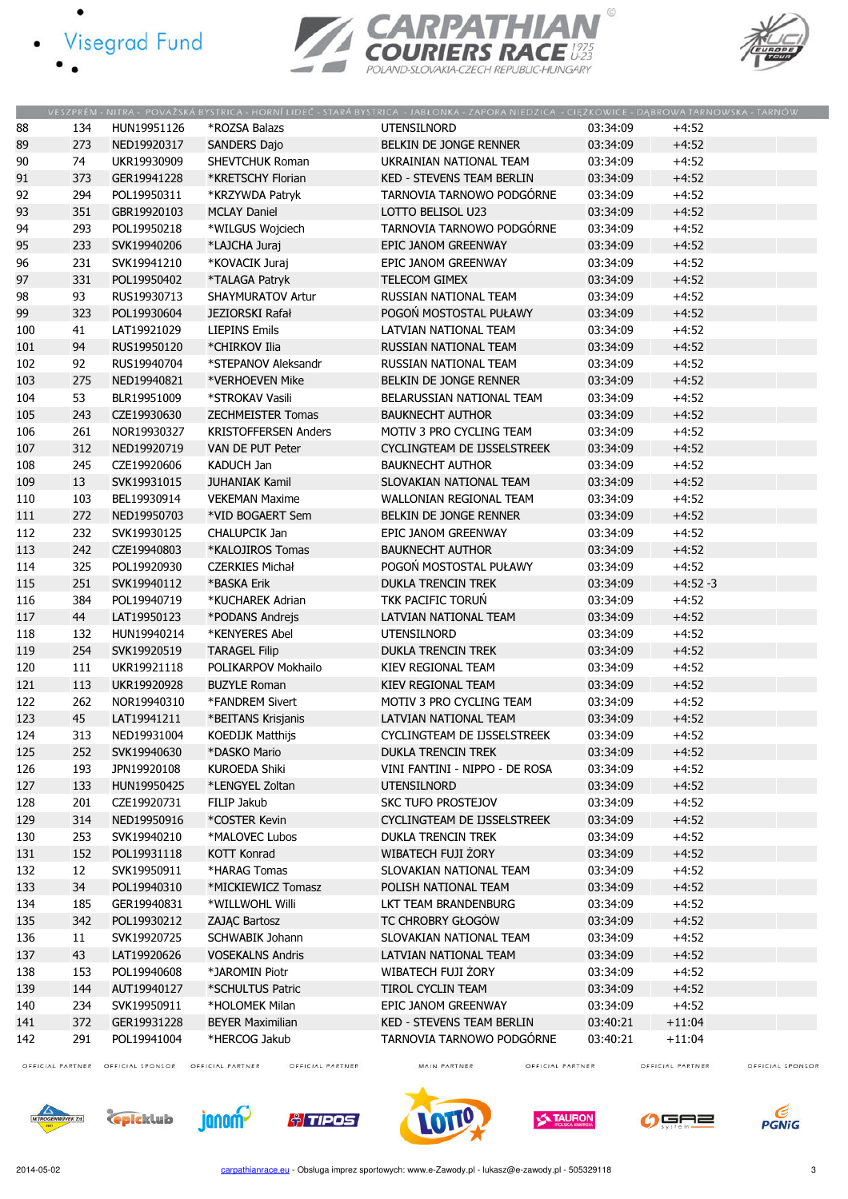- · Visegrad Fund
	-





|     |     |             |                             | VESZPRÉM - NITRA - POVAŽSKÁ BYSTRICA - HORNÍ LIDEČ - STARÁ BYSTRICA - JABŁONKA - ZAPORA NIEDZICA - CIĘŻKOWICE - DĄBROWA TARNOWSKA - TARNÓW |          |           |
|-----|-----|-------------|-----------------------------|--------------------------------------------------------------------------------------------------------------------------------------------|----------|-----------|
| 88  | 134 | HUN19951126 | *ROZSA Balazs               | <b>UTENSILNORD</b>                                                                                                                         | 03:34:09 | $+4:52$   |
| 89  | 273 | NED19920317 | <b>SANDERS Dajo</b>         | BELKIN DE JONGE RENNER                                                                                                                     | 03:34:09 | $+4:52$   |
| 90  | 74  | UKR19930909 | SHEVTCHUK Roman             | UKRAINIAN NATIONAL TEAM                                                                                                                    | 03:34:09 | $+4:52$   |
| 91  | 373 | GER19941228 | *KRETSCHY Florian           | <b>KED - STEVENS TEAM BERLIN</b>                                                                                                           | 03:34:09 | $+4:52$   |
| 92  | 294 | POL19950311 | *KRZYWDA Patryk             | TARNOVIA TARNOWO PODGÓRNE                                                                                                                  | 03:34:09 | $+4:52$   |
| 93  | 351 | GBR19920103 | <b>MCLAY Daniel</b>         | LOTTO BELISOL U23                                                                                                                          | 03:34:09 | $+4:52$   |
| 94  | 293 | POL19950218 | *WILGUS Wojciech            | TARNOVIA TARNOWO PODGÓRNE                                                                                                                  | 03:34:09 | $+4:52$   |
| 95  | 233 | SVK19940206 | *LAJCHA Juraj               | EPIC JANOM GREENWAY                                                                                                                        | 03:34:09 | $+4:52$   |
| 96  | 231 | SVK19941210 | *KOVACIK Juraj              | EPIC JANOM GREENWAY                                                                                                                        | 03:34:09 | $+4:52$   |
| 97  | 331 | POL19950402 | *TALAGA Patryk              | <b>TELECOM GIMEX</b>                                                                                                                       | 03:34:09 | $+4:52$   |
| 98  | 93  | RUS19930713 | <b>SHAYMURATOV Artur</b>    | RUSSIAN NATIONAL TEAM                                                                                                                      | 03:34:09 | $+4:52$   |
| 99  | 323 | POL19930604 | <b>JEZIORSKI Rafał</b>      | POGOŃ MOSTOSTAL PUŁAWY                                                                                                                     | 03:34:09 | $+4:52$   |
| 100 | 41  | LAT19921029 | <b>LIEPINS Emils</b>        | LATVIAN NATIONAL TEAM                                                                                                                      | 03:34:09 | $+4:52$   |
| 101 | 94  | RUS19950120 | *CHIRKOV Ilia               | RUSSIAN NATIONAL TEAM                                                                                                                      | 03:34:09 | $+4:52$   |
| 102 | 92  | RUS19940704 | *STEPANOV Aleksandr         | RUSSIAN NATIONAL TEAM                                                                                                                      | 03:34:09 | $+4:52$   |
| 103 | 275 | NED19940821 | *VERHOEVEN Mike             | BELKIN DE JONGE RENNER                                                                                                                     | 03:34:09 | $+4:52$   |
| 104 | 53  | BLR19951009 | *STROKAV Vasili             | BELARUSSIAN NATIONAL TEAM                                                                                                                  | 03:34:09 | $+4:52$   |
|     |     | CZE19930630 |                             | <b>BAUKNECHT AUTHOR</b>                                                                                                                    |          |           |
| 105 | 243 |             | ZECHMEISTER Tomas           |                                                                                                                                            | 03:34:09 | $+4:52$   |
| 106 | 261 | NOR19930327 | <b>KRISTOFFERSEN Anders</b> | MOTIV 3 PRO CYCLING TEAM                                                                                                                   | 03:34:09 | $+4:52$   |
| 107 | 312 | NED19920719 | VAN DE PUT Peter            | CYCLINGTEAM DE IJSSELSTREEK                                                                                                                | 03:34:09 | $+4:52$   |
| 108 | 245 | CZE19920606 | <b>KADUCH Jan</b>           | <b>BAUKNECHT AUTHOR</b>                                                                                                                    | 03:34:09 | $+4:52$   |
| 109 | 13  | SVK19931015 | <b>JUHANIAK Kamil</b>       | SLOVAKIAN NATIONAL TEAM                                                                                                                    | 03:34:09 | $+4:52$   |
| 110 | 103 | BEL19930914 | <b>VEKEMAN Maxime</b>       | WALLONIAN REGIONAL TEAM                                                                                                                    | 03:34:09 | $+4:52$   |
| 111 | 272 | NED19950703 | *VID BOGAERT Sem            | BELKIN DE JONGE RENNER                                                                                                                     | 03:34:09 | $+4:52$   |
| 112 | 232 | SVK19930125 | CHALUPCIK Jan               | EPIC JANOM GREENWAY                                                                                                                        | 03:34:09 | $+4:52$   |
| 113 | 242 | CZE19940803 | *KALOJIROS Tomas            | <b>BAUKNECHT AUTHOR</b>                                                                                                                    | 03:34:09 | $+4:52$   |
| 114 | 325 | POL19920930 | <b>CZERKIES Michał</b>      | POGOŃ MOSTOSTAL PUŁAWY                                                                                                                     | 03:34:09 | $+4:52$   |
| 115 | 251 | SVK19940112 | *BASKA Erik                 | <b>DUKLA TRENCIN TREK</b>                                                                                                                  | 03:34:09 | $+4:52-3$ |
| 116 | 384 | POL19940719 | *KUCHAREK Adrian            | TKK PACIFIC TORUŃ                                                                                                                          | 03:34:09 | $+4:52$   |
| 117 | 44  | LAT19950123 | *PODANS Andrejs             | LATVIAN NATIONAL TEAM                                                                                                                      | 03:34:09 | $+4:52$   |
| 118 | 132 | HUN19940214 | *KENYERES Abel              | <b>UTENSILNORD</b>                                                                                                                         | 03:34:09 | $+4:52$   |
| 119 | 254 | SVK19920519 | <b>TARAGEL Filip</b>        | <b>DUKLA TRENCIN TREK</b>                                                                                                                  | 03:34:09 | $+4:52$   |
| 120 | 111 | UKR19921118 | POLIKARPOV Mokhailo         | KIEV REGIONAL TEAM                                                                                                                         | 03:34:09 | $+4:52$   |
| 121 | 113 | UKR19920928 | <b>BUZYLE Roman</b>         | KIEV REGIONAL TEAM                                                                                                                         | 03:34:09 | $+4:52$   |
| 122 | 262 | NOR19940310 | *FANDREM Sivert             | MOTIV 3 PRO CYCLING TEAM                                                                                                                   | 03:34:09 | $+4:52$   |
| 123 | 45  | LAT19941211 | *BEITANS Krisjanis          | LATVIAN NATIONAL TEAM                                                                                                                      | 03:34:09 | $+4:52$   |
| 124 | 313 | NED19931004 | KOEDIJK Matthijs            | CYCLINGTEAM DE IJSSELSTREEK                                                                                                                | 03:34:09 | $+4:52$   |
| 125 | 252 | SVK19940630 | *DASKO Mario                | <b>DUKLA TRENCIN TREK</b>                                                                                                                  | 03:34:09 | $+4:52$   |
| 126 | 193 | JPN19920108 | <b>KUROEDA Shiki</b>        | VINI FANTINI - NIPPO - DE ROSA                                                                                                             | 03:34:09 | $+4:52$   |
| 127 | 133 | HUN19950425 | *LENGYEL Zoltan             | <b>UTENSILNORD</b>                                                                                                                         | 03:34:09 | $+4:52$   |
| 128 | 201 | CZE19920731 | FILIP Jakub                 | <b>SKC TUFO PROSTEJOV</b>                                                                                                                  | 03:34:09 | $+4:52$   |
| 129 | 314 | NED19950916 | *COSTER Kevin               | CYCLINGTEAM DE IJSSELSTREEK                                                                                                                | 03:34:09 | $+4:52$   |
| 130 | 253 | SVK19940210 | *MALOVEC Lubos              | <b>DUKLA TRENCIN TREK</b>                                                                                                                  | 03:34:09 | $+4:52$   |
| 131 | 152 | POL19931118 | <b>KOTT Konrad</b>          | WIBATECH FUJI ŻORY                                                                                                                         | 03:34:09 | $+4:52$   |
| 132 | 12  | SVK19950911 | *HARAG Tomas                | SLOVAKIAN NATIONAL TEAM                                                                                                                    | 03:34:09 | $+4:52$   |
| 133 | 34  | POL19940310 | *MICKIEWICZ Tomasz          | POLISH NATIONAL TEAM                                                                                                                       | 03:34:09 | $+4:52$   |
| 134 | 185 | GER19940831 | *WILLWOHL Willi             | LKT TEAM BRANDENBURG                                                                                                                       | 03:34:09 | $+4:52$   |
| 135 | 342 | POL19930212 | ZAJĄC Bartosz               | TC CHROBRY GŁOGÓW                                                                                                                          | 03:34:09 | $+4:52$   |
| 136 | 11  | SVK19920725 | <b>SCHWABIK Johann</b>      | SLOVAKIAN NATIONAL TEAM                                                                                                                    | 03:34:09 | $+4:52$   |
| 137 | 43  | LAT19920626 | <b>VOSEKALNS Andris</b>     | LATVIAN NATIONAL TEAM                                                                                                                      | 03:34:09 | $+4:52$   |
| 138 | 153 | POL19940608 | *JAROMIN Piotr              | WIBATECH FUJI ZORY                                                                                                                         | 03:34:09 | $+4:52$   |
| 139 | 144 | AUT19940127 | *SCHULTUS Patric            | TIROL CYCLIN TEAM                                                                                                                          | 03:34:09 |           |
|     |     |             |                             |                                                                                                                                            |          | $+4:52$   |
| 140 | 234 | SVK19950911 | *HOLOMEK Milan              | EPIC JANOM GREENWAY                                                                                                                        | 03:34:09 | $+4:52$   |
| 141 | 372 | GER19931228 | <b>BEYER Maximilian</b>     | <b>KED - STEVENS TEAM BERLIN</b>                                                                                                           | 03:40:21 | $+11:04$  |
| 142 | 291 | POL19941004 | *HERCOG Jakub               | TARNOVIA TARNOWO PODGÓRNE                                                                                                                  | 03:40:21 | $+11:04$  |

OFFICIAL PARTNER OFFICIAL SPONSOR OFFICIAL PARTNER

OFFICIAL PARTNER

MAIN PARTNER

OFFICIAL PARTNER

OFFICIAL PARTNER OFFICIAL SPONSOR













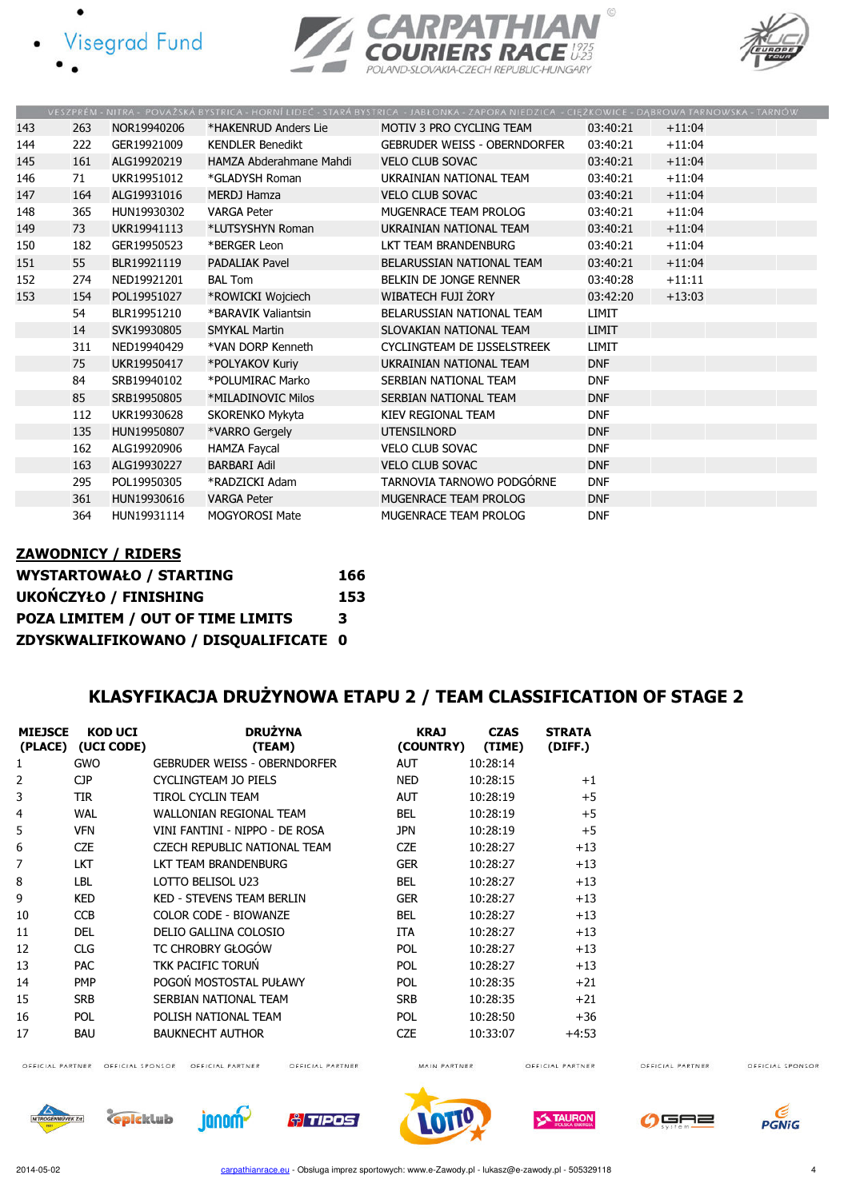







|     |     |             |                         | VESZPRÉM - NITRA - POVAŽSKÁ BYSTRICA - HORNÍ LIDEČ - STARÁ BYSTRICA - JABŁONKA - ZAPORA NIEDZICA - CIĘŻKOWICE - DĄBROWA TARNOWSKA - TARNÓW |              |          |
|-----|-----|-------------|-------------------------|--------------------------------------------------------------------------------------------------------------------------------------------|--------------|----------|
| 143 | 263 | NOR19940206 | *HAKENRUD Anders Lie    | MOTIV 3 PRO CYCLING TEAM                                                                                                                   | 03:40:21     | $+11:04$ |
| 144 | 222 | GER19921009 | <b>KENDLER Benedikt</b> | <b>GEBRUDER WEISS - OBERNDORFER</b>                                                                                                        | 03:40:21     | $+11:04$ |
| 145 | 161 | ALG19920219 | HAMZA Abderahmane Mahdi | <b>VELO CLUB SOVAC</b>                                                                                                                     | 03:40:21     | $+11:04$ |
| 146 | 71  | UKR19951012 | *GLADYSH Roman          | UKRAINIAN NATIONAL TEAM                                                                                                                    | 03:40:21     | $+11:04$ |
| 147 | 164 | ALG19931016 | <b>MERDJ Hamza</b>      | <b>VELO CLUB SOVAC</b>                                                                                                                     | 03:40:21     | $+11:04$ |
| 148 | 365 | HUN19930302 | <b>VARGA Peter</b>      | MUGENRACE TEAM PROLOG                                                                                                                      | 03:40:21     | $+11:04$ |
| 149 | 73  | UKR19941113 | *LUTSYSHYN Roman        | UKRAINIAN NATIONAL TEAM                                                                                                                    | 03:40:21     | $+11:04$ |
| 150 | 182 | GER19950523 | *BERGER Leon            | LKT TEAM BRANDENBURG                                                                                                                       | 03:40:21     | $+11:04$ |
| 151 | 55  | BLR19921119 | <b>PADALIAK Pavel</b>   | BELARUSSIAN NATIONAL TEAM                                                                                                                  | 03:40:21     | $+11:04$ |
| 152 | 274 | NED19921201 | <b>BAL Tom</b>          | BELKIN DE JONGE RENNER                                                                                                                     | 03:40:28     | $+11:11$ |
| 153 | 154 | POL19951027 | *ROWICKI Wojciech       | WIBATECH FUJI ŻORY                                                                                                                         | 03:42:20     | $+13:03$ |
|     | 54  | BLR19951210 | *BARAVIK Valiantsin     | BELARUSSIAN NATIONAL TEAM                                                                                                                  | <b>LIMIT</b> |          |
|     | 14  | SVK19930805 | <b>SMYKAL Martin</b>    | SLOVAKIAN NATIONAL TEAM                                                                                                                    | <b>LIMIT</b> |          |
|     | 311 | NED19940429 | *VAN DORP Kenneth       | CYCLINGTEAM DE IJSSELSTREEK                                                                                                                | <b>LIMIT</b> |          |
|     | 75  | UKR19950417 | *POLYAKOV Kuriy         | UKRAINIAN NATIONAL TEAM                                                                                                                    | <b>DNF</b>   |          |
|     | 84  | SRB19940102 | *POLUMIRAC Marko        | SERBIAN NATIONAL TEAM                                                                                                                      | <b>DNF</b>   |          |
|     | 85  | SRB19950805 | *MILADINOVIC Milos      | SERBIAN NATIONAL TEAM                                                                                                                      | <b>DNF</b>   |          |
|     | 112 | UKR19930628 | SKORENKO Mykyta         | KIEV REGIONAL TEAM                                                                                                                         | <b>DNF</b>   |          |
|     | 135 | HUN19950807 | *VARRO Gergely          | <b>UTENSILNORD</b>                                                                                                                         | <b>DNF</b>   |          |
|     | 162 | ALG19920906 | <b>HAMZA Faycal</b>     | <b>VELO CLUB SOVAC</b>                                                                                                                     | <b>DNF</b>   |          |
|     | 163 | ALG19930227 | <b>BARBARI Adil</b>     | <b>VELO CLUB SOVAC</b>                                                                                                                     | <b>DNF</b>   |          |
|     | 295 | POL19950305 | *RADZICKI Adam          | TARNOVIA TARNOWO PODGÓRNE                                                                                                                  | <b>DNF</b>   |          |
|     | 361 | HUN19930616 | <b>VARGA Peter</b>      | MUGENRACE TEAM PROLOG                                                                                                                      | <b>DNF</b>   |          |
|     | 364 | HUN19931114 | <b>MOGYOROSI Mate</b>   | MUGENRACE TEAM PROLOG                                                                                                                      | <b>DNF</b>   |          |

# ZAWODNICY / RIDERS WYSTARTOWAŁO / STARTING 166

| UKOŃCZYŁO / FINISHING                | 153 |
|--------------------------------------|-----|
| POZA LIMITEM / OUT OF TIME LIMITS    | 3   |
| ZDYSKWALIFIKOWANO / DISQUALIFICATE 0 |     |

### KLASYFIKACJA DRUŻYNOWA ETAPU 2 / TEAM CLASSIFICATION OF STAGE 2

| <b>MIEJSCE</b> | <b>KOD UCI</b><br>(PLACE) (UCI CODE) | <b>DRUŽYNA</b><br>(TEAM)            | <b>KRAJ</b><br>(COUNTRY) | <b>CZAS</b><br>(TIME) | <b>STRATA</b><br>(DIFF.) |
|----------------|--------------------------------------|-------------------------------------|--------------------------|-----------------------|--------------------------|
| 1              | <b>GWO</b>                           | <b>GEBRUDER WEISS - OBERNDORFER</b> | <b>AUT</b>               | 10:28:14              |                          |
| 2              | <b>CJP</b>                           | CYCLINGTEAM JO PIELS                | <b>NED</b>               | 10:28:15              | $+1$                     |
| 3              | TIR                                  | TIROL CYCLIN TEAM                   | <b>AUT</b>               | 10:28:19              | $+5$                     |
| 4              | <b>WAL</b>                           | <b>WALLONIAN REGIONAL TEAM</b>      | <b>BEL</b>               | 10:28:19              | $+5$                     |
| 5              | <b>VFN</b>                           | VINI FANTINI - NIPPO - DE ROSA      | <b>JPN</b>               | 10:28:19              | $+5$                     |
| 6              | <b>CZE</b>                           | CZECH REPUBLIC NATIONAL TEAM        | <b>CZE</b>               | 10:28:27              | $+13$                    |
|                | <b>LKT</b>                           | LKT TEAM BRANDENBURG                | <b>GER</b>               | 10:28:27              | $+13$                    |
| 8              | LBL                                  | LOTTO BELISOL U23                   | <b>BEL</b>               | 10:28:27              | $+13$                    |
| 9              | <b>KED</b>                           | <b>KED - STEVENS TEAM BERLIN</b>    | <b>GER</b>               | 10:28:27              | $+13$                    |
| 10             | <b>CCB</b>                           | COLOR CODE - BIOWANZE               | <b>BEL</b>               | 10:28:27              | $+13$                    |
| 11             | <b>DEL</b>                           | DELIO GALLINA COLOSIO               | <b>ITA</b>               | 10:28:27              | $+13$                    |
| 12             | <b>CLG</b>                           | TC CHROBRY GŁOGÓW                   | <b>POL</b>               | 10:28:27              | $+13$                    |
| 13             | <b>PAC</b>                           | <b>TKK PACIFIC TORUN</b>            | <b>POL</b>               | 10:28:27              | $+13$                    |
| 14             | <b>PMP</b>                           | POGOŃ MOSTOSTAL PUŁAWY              | <b>POL</b>               | 10:28:35              | $+21$                    |
| 15             | <b>SRB</b>                           | SERBIAN NATIONAL TEAM               | <b>SRB</b>               | 10:28:35              | $+21$                    |
| 16             | <b>POL</b>                           | POLISH NATIONAL TEAM                | <b>POL</b>               | 10:28:50              | $+36$                    |
| 17             | <b>BAU</b>                           | <b>BAUKNECHT AUTHOR</b>             | <b>CZE</b>               | 10:33:07              | $+4:53$                  |

OFFICIAL PARTNER OFFICIAL SPONSOR OFFICIAL PARTNER

OFFICIAL PARTNER

MAIN PARTNER

OFFICIAL PARTNER

OFFICIAL PARTNER















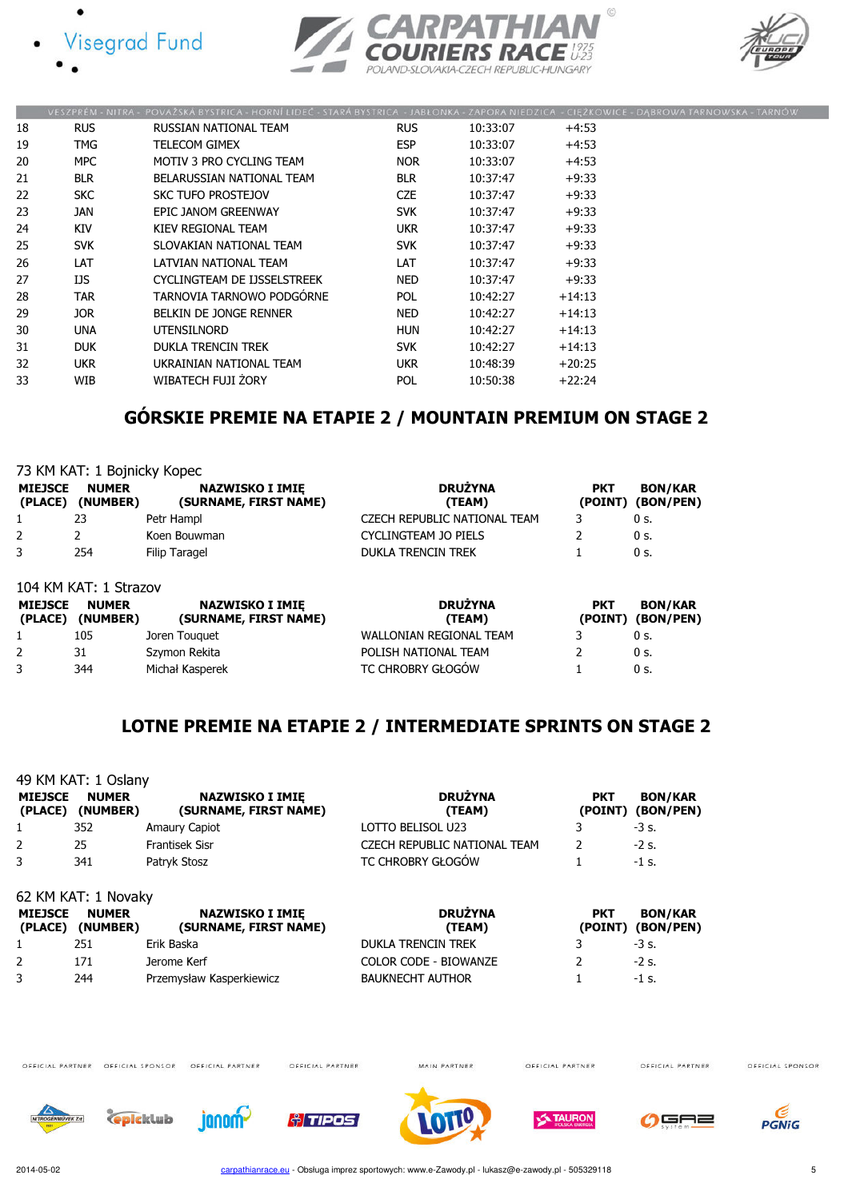





|    |            | VESZPRÉM - NITRA - POVAŽSKA BYSTRICA - HORNI LIDEĆ - STARA BYSTRICA - JABŁONKA - ZAPORA NIEDZICA - CIĘZKOWICE - DĄBROWA TARNOWSKA - TARNO |            |          |          |  |
|----|------------|-------------------------------------------------------------------------------------------------------------------------------------------|------------|----------|----------|--|
| 18 | <b>RUS</b> | RUSSIAN NATIONAL TEAM                                                                                                                     | <b>RUS</b> | 10:33:07 | $+4:53$  |  |
| 19 | TMG.       | TELECOM GIMEX                                                                                                                             | <b>ESP</b> | 10:33:07 | $+4:53$  |  |
| 20 | MPC.       | MOTIV 3 PRO CYCLING TEAM                                                                                                                  | <b>NOR</b> | 10:33:07 | $+4:53$  |  |
| 21 | <b>BLR</b> | BELARUSSIAN NATIONAL TEAM                                                                                                                 | <b>BLR</b> | 10:37:47 | $+9:33$  |  |
| 22 | <b>SKC</b> | SKC TUFO PROSTEJOV                                                                                                                        | CZE        | 10:37:47 | $+9:33$  |  |
| 23 | JAN        | EPIC JANOM GREENWAY                                                                                                                       | <b>SVK</b> | 10:37:47 | $+9:33$  |  |
| 24 | <b>KIV</b> | KIEV REGIONAL TEAM                                                                                                                        | <b>UKR</b> | 10:37:47 | $+9:33$  |  |
| 25 | <b>SVK</b> | SLOVAKIAN NATIONAL TEAM                                                                                                                   | <b>SVK</b> | 10:37:47 | $+9:33$  |  |
| 26 | LAT        | LATVIAN NATIONAL TEAM                                                                                                                     | LAT        | 10:37:47 | $+9:33$  |  |
| 27 | IJS        | CYCLINGTEAM DE IJSSELSTREEK                                                                                                               | <b>NED</b> | 10:37:47 | $+9:33$  |  |
| 28 | TAR.       | TARNOVIA TARNOWO PODGÓRNE                                                                                                                 | <b>POL</b> | 10:42:27 | $+14:13$ |  |
| 29 | JOR.       | <b>BELKIN DE JONGE RENNER</b>                                                                                                             | <b>NED</b> | 10:42:27 | $+14:13$ |  |
| 30 | <b>UNA</b> | UTENSILNORD                                                                                                                               | <b>HUN</b> | 10:42:27 | $+14:13$ |  |
| 31 | <b>DUK</b> | <b>DUKLA TRENCIN TREK</b>                                                                                                                 | <b>SVK</b> | 10:42:27 | $+14:13$ |  |
| 32 | <b>UKR</b> | UKRAINIAN NATIONAL TEAM                                                                                                                   | <b>UKR</b> | 10:48:39 | $+20:25$ |  |
| 33 | WIB        | WIBATECH FUJI ŻORY                                                                                                                        | POL        | 10:50:38 | $+22:24$ |  |
|    |            |                                                                                                                                           |            |          |          |  |

# GÓRSKIE PREMIE NA ETAPIE 2 / MOUNTAIN PREMIUM ON STAGE 2

|                           | 73 KM KAT: 1 Bojnicky Kopec |                                                 |                                |                       |                             |  |  |  |
|---------------------------|-----------------------------|-------------------------------------------------|--------------------------------|-----------------------|-----------------------------|--|--|--|
| <b>MIEJSCE</b><br>(PLACE) | <b>NUMER</b><br>(NUMBER)    | <b>NAZWISKO I IMIE</b><br>(SURNAME, FIRST NAME) | <b>DRUŻYNA</b><br>(TEAM)       | <b>PKT</b><br>(POINT) | <b>BON/KAR</b><br>(BON/PEN) |  |  |  |
|                           | 23                          | Petr Hampl                                      | CZECH REPUBLIC NATIONAL TEAM   | 3                     | 0 <sub>s</sub>              |  |  |  |
| 2                         | 2                           | Koen Bouwman                                    | <b>CYCLINGTEAM JO PIELS</b>    |                       | 0 <sub>s</sub>              |  |  |  |
| 3                         | 254                         | Filip Taragel                                   | <b>DUKLA TRENCIN TREK</b>      |                       | 0 <sub>s</sub>              |  |  |  |
|                           | 104 KM KAT: 1 Strazov       |                                                 |                                |                       |                             |  |  |  |
| <b>MIEJSCE</b><br>(PLACE) | <b>NUMER</b><br>(NUMBER)    | <b>NAZWISKO I IMIE</b><br>(SURNAME, FIRST NAME) | <b>DRUŻYNA</b><br>(TEAM)       | <b>PKT</b><br>(POINT) | <b>BON/KAR</b><br>(BON/PEN) |  |  |  |
|                           | 105                         | Joren Touquet                                   | <b>WALLONIAN REGIONAL TEAM</b> |                       | 0 <sub>s</sub>              |  |  |  |
|                           | 31                          | Szymon Rekita                                   | POLISH NATIONAL TEAM           |                       | 0 s.                        |  |  |  |

3 344 Michał Kasperek TC CHROBRY GŁOGÓW 1 0 s.

### LOTNE PREMIE NA ETAPIE 2 / INTERMEDIATE SPRINTS ON STAGE 2

|                           | 49 KM KAT: 1 Oslany      |                                                 |                              |                       |                             |
|---------------------------|--------------------------|-------------------------------------------------|------------------------------|-----------------------|-----------------------------|
| <b>MIEJSCE</b><br>(PLACE) | <b>NUMER</b><br>(NUMBER) | <b>NAZWISKO I IMIE</b><br>(SURNAME, FIRST NAME) | <b>DRUŻYNA</b><br>(TEAM)     | <b>PKT</b><br>(POINT) | <b>BON/KAR</b><br>(BON/PEN) |
| 1                         | 352                      | <b>Amaury Capiot</b>                            | LOTTO BELISOL U23            | 3                     | $-3$ s.                     |
| 2                         | 25                       | <b>Frantisek Sisr</b>                           | CZECH REPUBLIC NATIONAL TEAM | 2                     | -2 s.                       |
| 3                         | 341                      | Patryk Stosz                                    | TC CHROBRY GŁOGÓW            |                       | $-1$ s.                     |
|                           | 62 KM KAT: 1 Novaky      |                                                 |                              |                       |                             |
| <b>MIEJSCE</b><br>(PLACE) | <b>NUMER</b><br>(NUMBER) | <b>NAZWISKO I IMIĘ</b><br>(SURNAME, FIRST NAME) | <b>DRUŻYNA</b><br>(TEAM)     | <b>PKT</b><br>(POINT) | <b>BON/KAR</b><br>(BON/PEN) |
| 1                         | 251                      | Erik Baska                                      | <b>DUKLA TRENCIN TREK</b>    | 3                     | $-3$ s.                     |
| 2                         | 171                      | Jerome Kerf                                     | <b>COLOR CODE - BIOWANZE</b> | 2                     | $-2$ s.                     |
| 3                         | 244                      | Przemysław Kasperkiewicz                        | <b>BAUKNECHT AUTHOR</b>      |                       | $-1$ s.                     |



OFFICIAL PARTNER

MAIN PARTNER

OFFICIAL PARTNER

OFFICIAL PARTNER













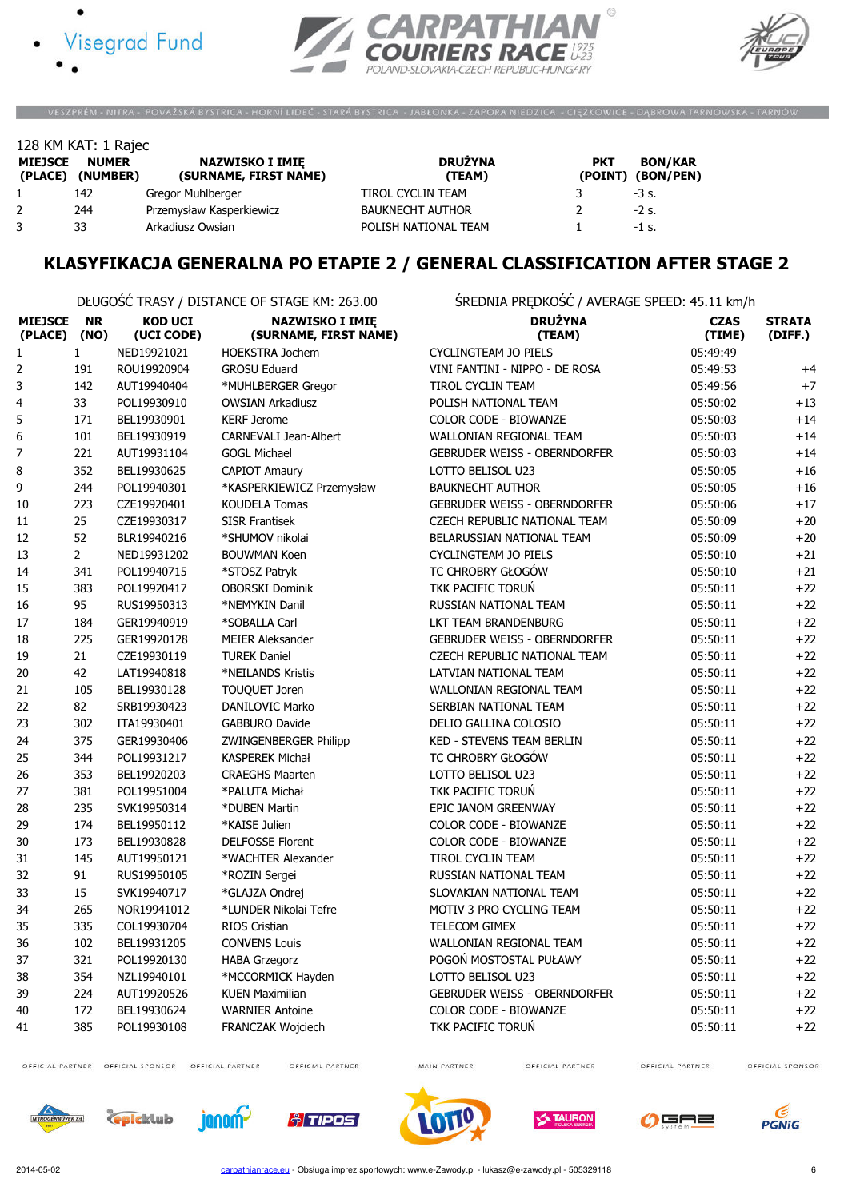





VESZPRÉM - NITRA - POVAŽSKÁ BYSTRICA - HORNÍ LIDEČ - STARÁ BYSTRICA - JABŁONKA - ZAPORA NIEDZICA - CIĘŻKOWICE - DĄBROWA TARNOWSKA - TARNÓW

|                           | 128 KM KAT: 1 Rajec      |                                                 |                          |                       |                             |
|---------------------------|--------------------------|-------------------------------------------------|--------------------------|-----------------------|-----------------------------|
| <b>MIEJSCE</b><br>(PLACE) | <b>NUMER</b><br>(NUMBER) | <b>NAZWISKO I IMIE</b><br>(SURNAME, FIRST NAME) | <b>DRUŻYNA</b><br>(TEAM) | <b>PKT</b><br>(POINT) | <b>BON/KAR</b><br>(BON/PEN) |
|                           | 142                      | Gregor Muhlberger                               | TIROL CYCLIN TEAM        |                       | $-3$ s.                     |
| 2                         | 244                      | Przemysław Kasperkiewicz                        | <b>BAUKNECHT AUTHOR</b>  |                       | $-2$ s.                     |
|                           | 33                       | Arkadiusz Owsian                                | POLISH NATIONAL TEAM     |                       | $-1$ s.                     |

### KLASYFIKACJA GENERALNA PO ETAPIE 2 / GENERAL CLASSIFICATION AFTER STAGE 2

DŁUGOŚĆ TRASY / DISTANCE OF STAGE KM: 263.00 ŚREDNIA PRĘDKOŚĆ / AVERAGE SPEED: 45.11 km/h

| <b>MIEJSCE</b><br>(PLACE) | <b>NR</b><br>(NO) | <b>KOD UCI</b><br>(UCI CODE) | <b>NAZWISKO I IMIĘ</b><br>(SURNAME, FIRST NAME) | <b>DRUŻYNA</b><br>(TEAM)            | <b>CZAS</b><br>(TIME) | <b>STRATA</b><br>(DIFF.) |
|---------------------------|-------------------|------------------------------|-------------------------------------------------|-------------------------------------|-----------------------|--------------------------|
| $\mathbf 1$               | $\mathbf{1}$      | NED19921021                  | <b>HOEKSTRA Jochem</b>                          | <b>CYCLINGTEAM JO PIELS</b>         | 05:49:49              |                          |
| $\mathbf 2$               | 191               | ROU19920904                  | <b>GROSU Eduard</b>                             | VINI FANTINI - NIPPO - DE ROSA      | 05:49:53              | $+4$                     |
| 3                         | 142               | AUT19940404                  | *MUHLBERGER Gregor                              | <b>TIROL CYCLIN TEAM</b>            | 05:49:56              | $+7$                     |
| 4                         | 33                | POL19930910                  | <b>OWSIAN Arkadiusz</b>                         | POLISH NATIONAL TEAM                | 05:50:02              | $+13$                    |
| 5                         | 171               | BEL19930901                  | <b>KERF Jerome</b>                              | COLOR CODE - BIOWANZE               | 05:50:03              | $+14$                    |
| 6                         | 101               | BEL19930919                  | CARNEVALI Jean-Albert                           | WALLONIAN REGIONAL TEAM             | 05:50:03              | $+14$                    |
| $\boldsymbol{7}$          | 221               | AUT19931104                  | <b>GOGL Michael</b>                             | <b>GEBRUDER WEISS - OBERNDORFER</b> | 05:50:03              | $+14$                    |
| 8                         | 352               | BEL19930625                  | <b>CAPIOT Amaury</b>                            | LOTTO BELISOL U23                   | 05:50:05              | $+16$                    |
| 9                         | 244               | POL19940301                  | *KASPERKIEWICZ Przemysław                       | <b>BAUKNECHT AUTHOR</b>             | 05:50:05              | $+16$                    |
| 10                        | 223               | CZE19920401                  | <b>KOUDELA Tomas</b>                            | <b>GEBRUDER WEISS - OBERNDORFER</b> | 05:50:06              | $+17$                    |
| 11                        | 25                | CZE19930317                  | <b>SISR Frantisek</b>                           | CZECH REPUBLIC NATIONAL TEAM        | 05:50:09              | $+20$                    |
| 12                        | 52                | BLR19940216                  | *SHUMOV nikolai                                 | BELARUSSIAN NATIONAL TEAM           | 05:50:09              | $+20$                    |
| 13                        | $\overline{2}$    | NED19931202                  | <b>BOUWMAN Koen</b>                             | <b>CYCLINGTEAM JO PIELS</b>         | 05:50:10              | $+21$                    |
| 14                        | 341               | POL19940715                  | *STOSZ Patryk                                   | TC CHROBRY GŁOGÓW                   | 05:50:10              | $+21$                    |
| 15                        | 383               | POL19920417                  | <b>OBORSKI Dominik</b>                          | TKK PACIFIC TORUN                   | 05:50:11              | $+22$                    |
| 16                        | 95                | RUS19950313                  | *NEMYKIN Danil                                  | RUSSIAN NATIONAL TEAM               | 05:50:11              | $+22$                    |
| 17                        | 184               | GER19940919                  | *SOBALLA Carl                                   | LKT TEAM BRANDENBURG                | 05:50:11              | $+22$                    |
| 18                        | 225               | GER19920128                  | <b>MEIER Aleksander</b>                         | <b>GEBRUDER WEISS - OBERNDORFER</b> | 05:50:11              | $+22$                    |
| 19                        | 21                | CZE19930119                  | <b>TUREK Daniel</b>                             | CZECH REPUBLIC NATIONAL TEAM        | 05:50:11              | $+22$                    |
| 20                        | 42                | LAT19940818                  | *NEILANDS Kristis                               | <b>LATVIAN NATIONAL TEAM</b>        | 05:50:11              | $+22$                    |
| 21                        | 105               | BEL19930128                  | TOUQUET Joren                                   | <b>WALLONIAN REGIONAL TEAM</b>      | 05:50:11              | $+22$                    |
| 22                        | 82                | SRB19930423                  | DANILOVIC Marko                                 | SERBIAN NATIONAL TEAM               | 05:50:11              | $+22$                    |
| 23                        | 302               | ITA19930401                  | <b>GABBURO Davide</b>                           | DELIO GALLINA COLOSIO               | 05:50:11              | $+22$                    |
| 24                        | 375               | GER19930406                  | <b>ZWINGENBERGER Philipp</b>                    | <b>KED - STEVENS TEAM BERLIN</b>    | 05:50:11              | $+22$                    |
| 25                        | 344               | POL19931217                  | <b>KASPEREK Michał</b>                          | TC CHROBRY GŁOGÓW                   | 05:50:11              | $+22$                    |
| 26                        | 353               | BEL19920203                  | <b>CRAEGHS Maarten</b>                          | LOTTO BELISOL U23                   | 05:50:11              | $+22$                    |
| 27                        | 381               | POL19951004                  | *PALUTA Michał                                  | TKK PACIFIC TORUN                   | 05:50:11              | $+22$                    |
| 28                        | 235               | SVK19950314                  | *DUBEN Martin                                   | EPIC JANOM GREENWAY                 | 05:50:11              | $+22$                    |
| 29                        | 174               | BEL19950112                  | *KAISE Julien                                   | <b>COLOR CODE - BIOWANZE</b>        | 05:50:11              | $+22$                    |
| 30                        | 173               | BEL19930828                  | <b>DELFOSSE Florent</b>                         | COLOR CODE - BIOWANZE               | 05:50:11              | $+22$                    |
| 31                        | 145               | AUT19950121                  | *WACHTER Alexander                              | TIROL CYCLIN TEAM                   | 05:50:11              | $+22$                    |
| 32                        | 91                | RUS19950105                  | *ROZIN Sergei                                   | RUSSIAN NATIONAL TEAM               | 05:50:11              | $+22$                    |
| 33                        | 15                | SVK19940717                  | *GLAJZA Ondrej                                  | SLOVAKIAN NATIONAL TEAM             | 05:50:11              | $+22$                    |
| 34                        | 265               | NOR19941012                  | *LUNDER Nikolai Tefre                           | MOTIV 3 PRO CYCLING TEAM            | 05:50:11              | $+22$                    |
| 35                        | 335               | COL19930704                  | <b>RIOS Cristian</b>                            | <b>TELECOM GIMEX</b>                | 05:50:11              | $+22$                    |
| 36                        | 102               | BEL19931205                  | <b>CONVENS Louis</b>                            | WALLONIAN REGIONAL TEAM             | 05:50:11              | $+22$                    |
| 37                        | 321               | POL19920130                  | <b>HABA Grzegorz</b>                            | POGOŃ MOSTOSTAL PUŁAWY              | 05:50:11              | $+22$                    |
| 38                        | 354               | NZL19940101                  | *MCCORMICK Hayden                               | LOTTO BELISOL U23                   | 05:50:11              | $+22$                    |
| 39                        | 224               | AUT19920526                  | <b>KUEN Maximilian</b>                          | <b>GEBRUDER WEISS - OBERNDORFER</b> | 05:50:11              | $+22$                    |
| 40                        | 172               | BEL19930624                  | <b>WARNIER Antoine</b>                          | COLOR CODE - BIOWANZE               | 05:50:11              | $+22$                    |
| 41                        | 385               | POL19930108                  | <b>FRANCZAK Wojciech</b>                        | TKK PACIFIC TORUN                   | 05:50:11              | $+22$                    |

OFFICIAL PARTNER OFFICIAL SPONSOR OFFICIAL PARTNER

OFFICIAL PARTNER

MAIN PARTNER

OFFICIAL PARTNER

OFFICIAL PARTNER













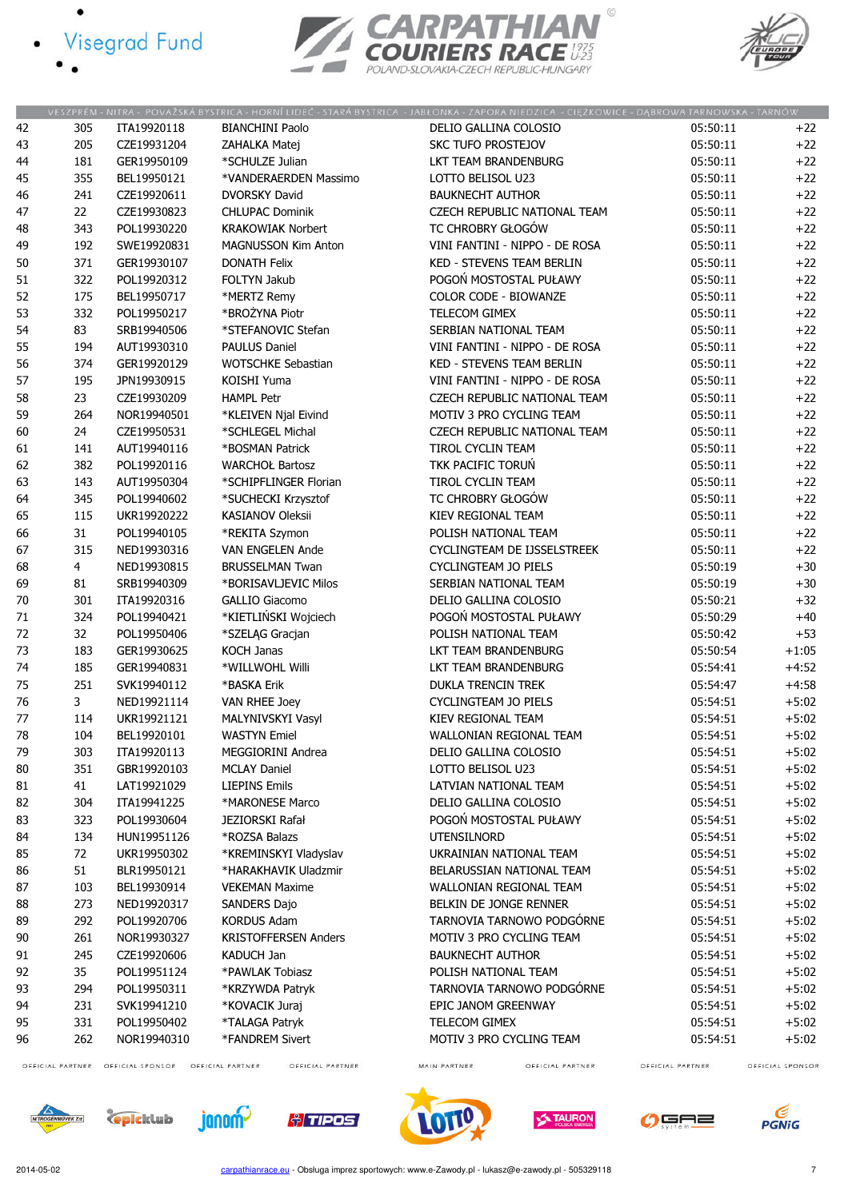- · Visegrad Fund
	-





|    |                  |                  |                                      | VESZPRÉM - NITRA - POVAŽSKÁ BYSTRICA - HORNÍ LIDEČ - STARÁ BYSTRICA - JABŁONKA - ZAPORA NIEDZICA - CIĘŻKOWICE - DĄBROWA TARNOWSKA - TARNÓW |                  |                  |
|----|------------------|------------------|--------------------------------------|--------------------------------------------------------------------------------------------------------------------------------------------|------------------|------------------|
| 42 | 305              | ITA19920118      | <b>BIANCHINI Paolo</b>               | DELIO GALLINA COLOSIO                                                                                                                      | 05:50:11         | $+22$            |
| 43 | 205              | CZE19931204      | ZAHALKA Matej                        | <b>SKC TUFO PROSTEJOV</b>                                                                                                                  | 05:50:11         | $+22$            |
| 44 | 181              | GER19950109      | *SCHULZE Julian                      | LKT TEAM BRANDENBURG                                                                                                                       | 05:50:11         | $+22$            |
| 45 | 355              | BEL19950121      | *VANDERAERDEN Massimo                | LOTTO BELISOL U23                                                                                                                          | 05:50:11         | $+22$            |
| 46 | 241              | CZE19920611      | <b>DVORSKY David</b>                 | <b>BAUKNECHT AUTHOR</b>                                                                                                                    | 05:50:11         | $+22$            |
| 47 | 22               | CZE19930823      | <b>CHLUPAC Dominik</b>               | CZECH REPUBLIC NATIONAL TEAM                                                                                                               | 05:50:11         | $+22$            |
| 48 | 343              | POL19930220      | <b>KRAKOWIAK Norbert</b>             | TC CHROBRY GŁOGÓW                                                                                                                          | 05:50:11         | $+22$            |
| 49 | 192              | SWE19920831      | MAGNUSSON Kim Anton                  | VINI FANTINI - NIPPO - DE ROSA                                                                                                             | 05:50:11         | $+22$            |
| 50 | 371              | GER19930107      | <b>DONATH Felix</b>                  | <b>KED - STEVENS TEAM BERLIN</b>                                                                                                           | 05:50:11         | $+22$            |
|    |                  | POL19920312      | FOLTYN Jakub                         | POGOŃ MOSTOSTAL PUŁAWY                                                                                                                     | 05:50:11         |                  |
| 51 | 322              |                  |                                      |                                                                                                                                            |                  | $+22$            |
| 52 | 175              | BEL19950717      | *MERTZ Remy                          | COLOR CODE - BIOWANZE                                                                                                                      | 05:50:11         | $+22$            |
| 53 | 332              | POL19950217      | *BROŻYNA Piotr                       | TELECOM GIMEX                                                                                                                              | 05:50:11         | $+22$            |
| 54 | 83               | SRB19940506      | *STEFANOVIC Stefan                   | SERBIAN NATIONAL TEAM                                                                                                                      | 05:50:11         | $+22$            |
| 55 | 194              | AUT19930310      | <b>PAULUS Daniel</b>                 | VINI FANTINI - NIPPO - DE ROSA                                                                                                             | 05:50:11         | $+22$            |
| 56 | 374              | GER19920129      | <b>WOTSCHKE Sebastian</b>            | <b>KED - STEVENS TEAM BERLIN</b>                                                                                                           | 05:50:11         | $+22$            |
| 57 | 195              | JPN19930915      | KOISHI Yuma                          | VINI FANTINI - NIPPO - DE ROSA                                                                                                             | 05:50:11         | $+22$            |
| 58 | 23               | CZE19930209      | <b>HAMPL Petr</b>                    | CZECH REPUBLIC NATIONAL TEAM                                                                                                               | 05:50:11         | $+22$            |
| 59 | 264              | NOR19940501      | *KLEIVEN Njal Eivind                 | MOTIV 3 PRO CYCLING TEAM                                                                                                                   | 05:50:11         | $+22$            |
| 60 | 24               | CZE19950531      | *SCHLEGEL Michal                     | CZECH REPUBLIC NATIONAL TEAM                                                                                                               | 05:50:11         | $+22$            |
| 61 | 141              | AUT19940116      | *BOSMAN Patrick                      | TIROL CYCLIN TEAM                                                                                                                          | 05:50:11         | $+22$            |
| 62 | 382              | POL19920116      | <b>WARCHOŁ Bartosz</b>               | TKK PACIFIC TORUŃ                                                                                                                          | 05:50:11         | $+22$            |
| 63 | 143              | AUT19950304      | *SCHIPFLINGER Florian                | <b>TIROL CYCLIN TEAM</b>                                                                                                                   | 05:50:11         | $+22$            |
| 64 | 345              | POL19940602      | *SUCHECKI Krzysztof                  | TC CHROBRY GŁOGÓW                                                                                                                          | 05:50:11         | $+22$            |
| 65 | 115              | UKR19920222      | <b>KASIANOV Oleksii</b>              | KIEV REGIONAL TEAM                                                                                                                         | 05:50:11         | $+22$            |
| 66 | 31               | POL19940105      | *REKITA Szymon                       | POLISH NATIONAL TEAM                                                                                                                       | 05:50:11         | $+22$            |
| 67 | 315              | NED19930316      | VAN ENGELEN Ande                     | CYCLINGTEAM DE IJSSELSTREEK                                                                                                                | 05:50:11         | $+22$            |
| 68 | 4                | NED19930815      | <b>BRUSSELMAN Twan</b>               | <b>CYCLINGTEAM JO PIELS</b>                                                                                                                | 05:50:19         | $+30$            |
| 69 | 81               | SRB19940309      | *BORISAVLJEVIC Milos                 | SERBIAN NATIONAL TEAM                                                                                                                      | 05:50:19         | $+30$            |
|    |                  |                  |                                      |                                                                                                                                            |                  |                  |
| 70 | 301              | ITA19920316      | <b>GALLIO Giacomo</b>                | DELIO GALLINA COLOSIO                                                                                                                      | 05:50:21         | $+32$            |
| 71 | 324              | POL19940421      | *KIETLIŃSKI Wojciech                 | POGOŃ MOSTOSTAL PUŁAWY                                                                                                                     | 05:50:29         | $+40$            |
| 72 | 32               | POL19950406      | *SZELĄG Gracjan                      | POLISH NATIONAL TEAM                                                                                                                       | 05:50:42         | $+53$            |
| 73 | 183              | GER19930625      | <b>KOCH Janas</b>                    | LKT TEAM BRANDENBURG                                                                                                                       | 05:50:54         | $+1:05$          |
| 74 | 185              | GER19940831      | *WILLWOHL Willi                      | LKT TEAM BRANDENBURG                                                                                                                       | 05:54:41         | $+4:52$          |
| 75 | 251              | SVK19940112      | *BASKA Erik                          | <b>DUKLA TRENCIN TREK</b>                                                                                                                  | 05:54:47         | $+4:58$          |
| 76 | 3                | NED19921114      | VAN RHEE Joey                        | CYCLINGTEAM JO PIELS                                                                                                                       | 05:54:51         | $+5:02$          |
| 77 | 114              | UKR19921121      | MALYNIVSKYI Vasyl                    | KIEV REGIONAL TEAM                                                                                                                         | 05:54:51         | $+5:02$          |
| 78 | 104              | BEL19920101      | <b>WASTYN Emiel</b>                  | WALLONIAN REGIONAL TEAM                                                                                                                    | 05:54:51         | $+5:02$          |
| 79 | 303              | ITA19920113      | MEGGIORINI Andrea                    | DELIO GALLINA COLOSIO                                                                                                                      | 05:54:51         | $+5:02$          |
| 80 | 351              | GBR19920103      | <b>MCLAY Daniel</b>                  | LOTTO BELISOL U23                                                                                                                          | 05:54:51         | $+5:02$          |
| 81 | 41               | LAT19921029      | <b>LIEPINS Emils</b>                 | LATVIAN NATIONAL TEAM                                                                                                                      | 05:54:51         | $+5:02$          |
| 82 | 304              | ITA19941225      | *MARONESE Marco                      | DELIO GALLINA COLOSIO                                                                                                                      | 05:54:51         | $+5:02$          |
| 83 | 323              | POL19930604      | JEZIORSKI Rafał                      | POGOŃ MOSTOSTAL PUŁAWY                                                                                                                     | 05:54:51         | $+5:02$          |
| 84 | 134              | HUN19951126      | *ROZSA Balazs                        | <b>UTENSILNORD</b>                                                                                                                         | 05:54:51         | $+5:02$          |
| 85 | 72               | UKR19950302      | *KREMINSKYI Vladyslav                | UKRAINIAN NATIONAL TEAM                                                                                                                    | 05:54:51         | $+5:02$          |
| 86 | 51               | BLR19950121      | *HARAKHAVIK Uladzmir                 | BELARUSSIAN NATIONAL TEAM                                                                                                                  | 05:54:51         | $+5:02$          |
| 87 | 103              | BEL19930914      | <b>VEKEMAN Maxime</b>                | WALLONIAN REGIONAL TEAM                                                                                                                    | 05:54:51         | $+5:02$          |
| 88 | 273              | NED19920317      | <b>SANDERS Dajo</b>                  | BELKIN DE JONGE RENNER                                                                                                                     | 05:54:51         | $+5:02$          |
|    |                  | POL19920706      | <b>KORDUS Adam</b>                   | TARNOVIA TARNOWO PODGÓRNE                                                                                                                  |                  |                  |
| 89 | 292              |                  |                                      | MOTIV 3 PRO CYCLING TEAM                                                                                                                   | 05:54:51         | $+5:02$          |
| 90 | 261              | NOR19930327      | <b>KRISTOFFERSEN Anders</b>          |                                                                                                                                            | 05:54:51         | $+5:02$          |
| 91 | 245              | CZE19920606      | KADUCH Jan                           | <b>BAUKNECHT AUTHOR</b>                                                                                                                    | 05:54:51         | $+5:02$          |
| 92 | 35               | POL19951124      | *PAWLAK Tobiasz                      | POLISH NATIONAL TEAM                                                                                                                       | 05:54:51         | $+5:02$          |
| 93 | 294              | POL19950311      | *KRZYWDA Patryk                      | TARNOVIA TARNOWO PODGÓRNE                                                                                                                  | 05:54:51         | $+5:02$          |
| 94 | 231              | SVK19941210      | *KOVACIK Juraj                       | EPIC JANOM GREENWAY                                                                                                                        | 05:54:51         | $+5:02$          |
| 95 | 331              | POL19950402      | *TALAGA Patryk                       | TELECOM GIMEX                                                                                                                              | 05:54:51         | $+5:02$          |
| 96 | 262              | NOR19940310      | *FANDREM Sivert                      | MOTIV 3 PRO CYCLING TEAM                                                                                                                   | 05:54:51         | $+5:02$          |
|    | OFFICIAL PARTNER | OFFICIAL SPONSOR | OFFICIAL PARTNER<br>OFFICIAL PARTNER | OFFICIAL PARTNER<br>MAIN PARTNER                                                                                                           | OFFICIAL PARTNER | OFFICIAL SPONSOR |

OFFICIAL PARTNER

GF ∍≡

**TAURON** 

OFFICIAL SPONSOR

**PGNiG** 







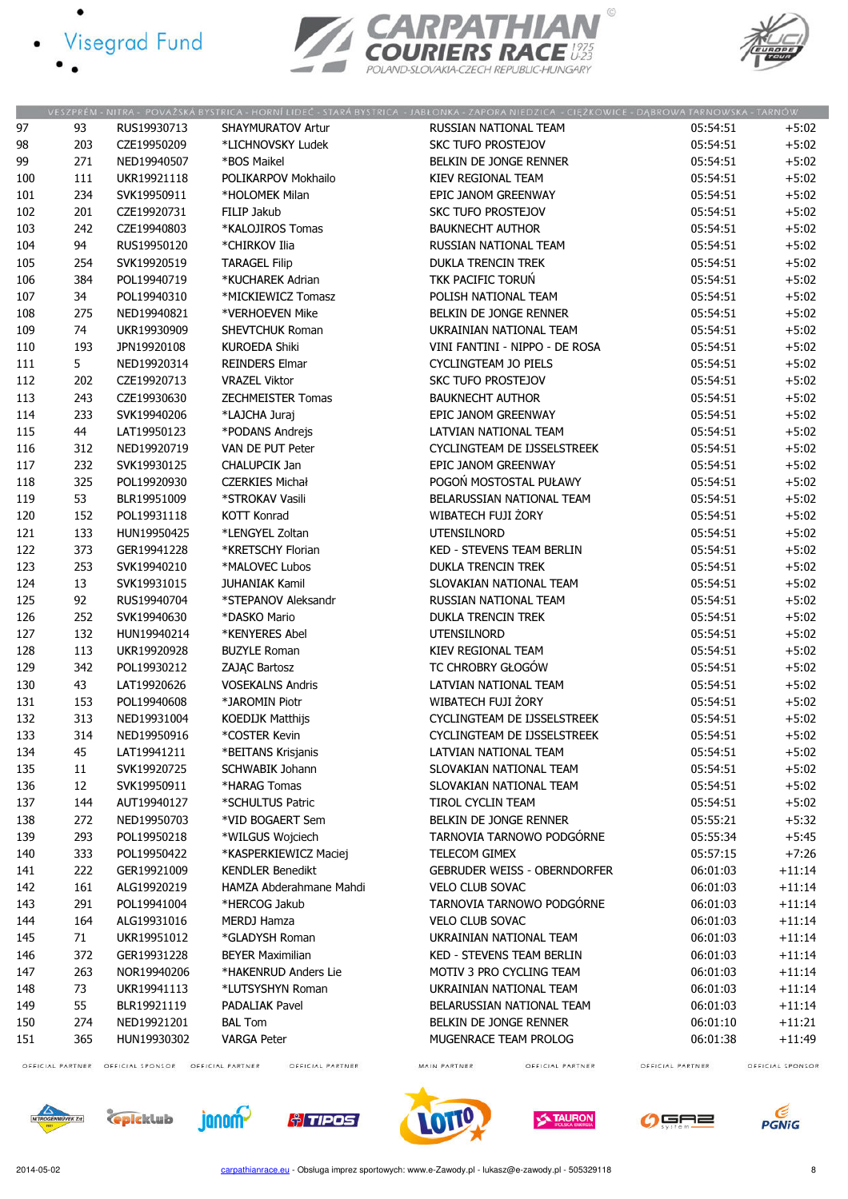- · Visegrad Fund
	-





|     |     |             |                          | VESZPRÉM - NITRA - POVAŻSKÁ BYSTRICA - HORNÍ LIDEĆ - STARÁ BYSTRICA - JABŁONKA - ZAPORA NIEDZICA - CIĘŻKOWICE - DĄBROWA TARNOWSKA - TARNÓW |          |          |
|-----|-----|-------------|--------------------------|--------------------------------------------------------------------------------------------------------------------------------------------|----------|----------|
| 97  | 93  | RUS19930713 | <b>SHAYMURATOV Artur</b> | RUSSIAN NATIONAL TEAM                                                                                                                      | 05:54:51 | $+5:02$  |
| 98  | 203 | CZE19950209 | *LICHNOVSKY Ludek        | <b>SKC TUFO PROSTEJOV</b>                                                                                                                  | 05:54:51 | $+5:02$  |
| 99  | 271 | NED19940507 | *BOS Maikel              | BELKIN DE JONGE RENNER                                                                                                                     | 05:54:51 | $+5:02$  |
| 100 | 111 | UKR19921118 | POLIKARPOV Mokhailo      | KIEV REGIONAL TEAM                                                                                                                         | 05:54:51 | $+5:02$  |
| 101 | 234 | SVK19950911 | *HOLOMEK Milan           | EPIC JANOM GREENWAY                                                                                                                        | 05:54:51 | $+5:02$  |
| 102 | 201 | CZE19920731 | FILIP Jakub              | <b>SKC TUFO PROSTEJOV</b>                                                                                                                  | 05:54:51 | $+5:02$  |
| 103 | 242 | CZE19940803 | *KALOJIROS Tomas         | <b>BAUKNECHT AUTHOR</b>                                                                                                                    | 05:54:51 | $+5:02$  |
| 104 | 94  | RUS19950120 | *CHIRKOV Ilia            | RUSSIAN NATIONAL TEAM                                                                                                                      | 05:54:51 | $+5:02$  |
| 105 | 254 | SVK19920519 | <b>TARAGEL Filip</b>     | <b>DUKLA TRENCIN TREK</b>                                                                                                                  | 05:54:51 | $+5:02$  |
| 106 | 384 | POL19940719 | *KUCHAREK Adrian         | <b>TKK PACIFIC TORUŃ</b>                                                                                                                   | 05:54:51 | $+5:02$  |
| 107 | 34  | POL19940310 | *MICKIEWICZ Tomasz       | POLISH NATIONAL TEAM                                                                                                                       | 05:54:51 | $+5:02$  |
| 108 | 275 | NED19940821 | *VERHOEVEN Mike          | BELKIN DE JONGE RENNER                                                                                                                     | 05:54:51 | $+5:02$  |
| 109 | 74  | UKR19930909 | <b>SHEVTCHUK Roman</b>   | UKRAINIAN NATIONAL TEAM                                                                                                                    | 05:54:51 | $+5:02$  |
| 110 | 193 | JPN19920108 | <b>KUROEDA Shiki</b>     | VINI FANTINI - NIPPO - DE ROSA                                                                                                             | 05:54:51 | $+5:02$  |
| 111 | 5   | NED19920314 | <b>REINDERS Elmar</b>    | CYCLINGTEAM JO PIELS                                                                                                                       | 05:54:51 | $+5:02$  |
| 112 | 202 | CZE19920713 | <b>VRAZEL Viktor</b>     | SKC TUFO PROSTEJOV                                                                                                                         | 05:54:51 | $+5:02$  |
| 113 | 243 | CZE19930630 | <b>ZECHMEISTER Tomas</b> | <b>BAUKNECHT AUTHOR</b>                                                                                                                    | 05:54:51 | $+5:02$  |
| 114 | 233 | SVK19940206 | *LAJCHA Juraj            | EPIC JANOM GREENWAY                                                                                                                        | 05:54:51 | $+5:02$  |
| 115 | 44  | LAT19950123 | *PODANS Andrejs          | LATVIAN NATIONAL TEAM                                                                                                                      | 05:54:51 | $+5:02$  |
| 116 | 312 | NED19920719 | VAN DE PUT Peter         | CYCLINGTEAM DE IJSSELSTREEK                                                                                                                | 05:54:51 | $+5:02$  |
| 117 | 232 | SVK19930125 | CHALUPCIK Jan            | EPIC JANOM GREENWAY                                                                                                                        | 05:54:51 | $+5:02$  |
| 118 | 325 | POL19920930 | <b>CZERKIES Michał</b>   | POGOŃ MOSTOSTAL PUŁAWY                                                                                                                     | 05:54:51 | $+5:02$  |
| 119 | 53  | BLR19951009 | *STROKAV Vasili          | BELARUSSIAN NATIONAL TEAM                                                                                                                  | 05:54:51 | $+5:02$  |
| 120 | 152 | POL19931118 | <b>KOTT Konrad</b>       | WIBATECH FUJI ŻORY                                                                                                                         | 05:54:51 | $+5:02$  |
| 121 | 133 | HUN19950425 | *LENGYEL Zoltan          | UTENSILNORD                                                                                                                                | 05:54:51 | $+5:02$  |
| 122 | 373 | GER19941228 | *KRETSCHY Florian        | KED - STEVENS TEAM BERLIN                                                                                                                  | 05:54:51 | $+5:02$  |
| 123 | 253 | SVK19940210 | *MALOVEC Lubos           | DUKLA TRENCIN TREK                                                                                                                         | 05:54:51 | $+5:02$  |
|     |     |             |                          |                                                                                                                                            |          |          |
| 124 | 13  | SVK19931015 | <b>JUHANIAK Kamil</b>    | SLOVAKIAN NATIONAL TEAM                                                                                                                    | 05:54:51 | $+5:02$  |
| 125 | 92  | RUS19940704 | *STEPANOV Aleksandr      | RUSSIAN NATIONAL TEAM                                                                                                                      | 05:54:51 | $+5:02$  |
| 126 | 252 | SVK19940630 | *DASKO Mario             | DUKLA TRENCIN TREK                                                                                                                         | 05:54:51 | $+5:02$  |
| 127 | 132 | HUN19940214 | *KENYERES Abel           | UTENSILNORD                                                                                                                                | 05:54:51 | $+5:02$  |
| 128 | 113 | UKR19920928 | <b>BUZYLE Roman</b>      | KIEV REGIONAL TEAM                                                                                                                         | 05:54:51 | $+5:02$  |
| 129 | 342 | POL19930212 | ZAJĄC Bartosz            | TC CHROBRY GŁOGÓW                                                                                                                          | 05:54:51 | $+5:02$  |
| 130 | 43  | LAT19920626 | <b>VOSEKALNS Andris</b>  | LATVIAN NATIONAL TEAM                                                                                                                      | 05:54:51 | $+5:02$  |
| 131 | 153 | POL19940608 | *JAROMIN Piotr           | WIBATECH FUJI ŻORY                                                                                                                         | 05:54:51 | $+5:02$  |
| 132 | 313 | NED19931004 | KOEDIJK Matthijs         | CYCLINGTEAM DE IJSSELSTREEK                                                                                                                | 05:54:51 | $+5:02$  |
| 133 | 314 | NED19950916 | *COSTER Kevin            | CYCLINGTEAM DE IJSSELSTREEK                                                                                                                | 05:54:51 | $+5:02$  |
| 134 | 45  | LAT19941211 | *BEITANS Krisjanis       | LATVIAN NATIONAL TEAM                                                                                                                      | 05:54:51 | $+5:02$  |
| 135 | 11  | SVK19920725 | <b>SCHWABIK Johann</b>   | SLOVAKIAN NATIONAL TEAM                                                                                                                    | 05:54:51 | $+5:02$  |
| 136 | 12  | SVK19950911 | *HARAG Tomas             | SLOVAKIAN NATIONAL TEAM                                                                                                                    | 05:54:51 | $+5:02$  |
| 137 | 144 | AUT19940127 | *SCHULTUS Patric         | TIROL CYCLIN TEAM                                                                                                                          | 05:54:51 | $+5:02$  |
| 138 | 272 | NED19950703 | *VID BOGAERT Sem         | BELKIN DE JONGE RENNER                                                                                                                     | 05:55:21 | $+5:32$  |
| 139 | 293 | POL19950218 | *WILGUS Wojciech         | TARNOVIA TARNOWO PODGÓRNE                                                                                                                  | 05:55:34 | $+5:45$  |
| 140 | 333 | POL19950422 | *KASPERKIEWICZ Maciej    | TELECOM GIMEX                                                                                                                              | 05:57:15 | $+7:26$  |
| 141 | 222 | GER19921009 | <b>KENDLER Benedikt</b>  | <b>GEBRUDER WEISS - OBERNDORFER</b>                                                                                                        | 06:01:03 | $+11:14$ |
| 142 | 161 | ALG19920219 | HAMZA Abderahmane Mahdi  | <b>VELO CLUB SOVAC</b>                                                                                                                     | 06:01:03 | $+11:14$ |
| 143 | 291 | POL19941004 | *HERCOG Jakub            | TARNOVIA TARNOWO PODGÓRNE                                                                                                                  | 06:01:03 | $+11:14$ |
| 144 | 164 | ALG19931016 | <b>MERDJ Hamza</b>       | <b>VELO CLUB SOVAC</b>                                                                                                                     | 06:01:03 | $+11:14$ |
| 145 | 71  | UKR19951012 | *GLADYSH Roman           | UKRAINIAN NATIONAL TEAM                                                                                                                    | 06:01:03 | $+11:14$ |
| 146 | 372 | GER19931228 | <b>BEYER Maximilian</b>  | KED - STEVENS TEAM BERLIN                                                                                                                  | 06:01:03 | $+11:14$ |
| 147 | 263 | NOR19940206 | *HAKENRUD Anders Lie     | MOTIV 3 PRO CYCLING TEAM                                                                                                                   | 06:01:03 | $+11:14$ |
| 148 | 73  | UKR19941113 | *LUTSYSHYN Roman         | UKRAINIAN NATIONAL TEAM                                                                                                                    | 06:01:03 | $+11:14$ |
| 149 | 55  | BLR19921119 | <b>PADALIAK Pavel</b>    | BELARUSSIAN NATIONAL TEAM                                                                                                                  | 06:01:03 | $+11:14$ |
| 150 | 274 | NED19921201 | <b>BAL Tom</b>           | BELKIN DE JONGE RENNER                                                                                                                     | 06:01:10 | $+11:21$ |
| 151 | 365 | HUN19930302 | <b>VARGA Peter</b>       | MUGENRACE TEAM PROLOG                                                                                                                      | 06:01:38 | $+11:49$ |
|     |     |             |                          |                                                                                                                                            |          |          |

OFFICIAL PARTNER OFFICIAL SPONSOR OFFICIAL PARTNER

OFFICIAL PARTNER

MAIN PARTNER

OFFICIAL PARTNER

OFFICIAL PARTNER













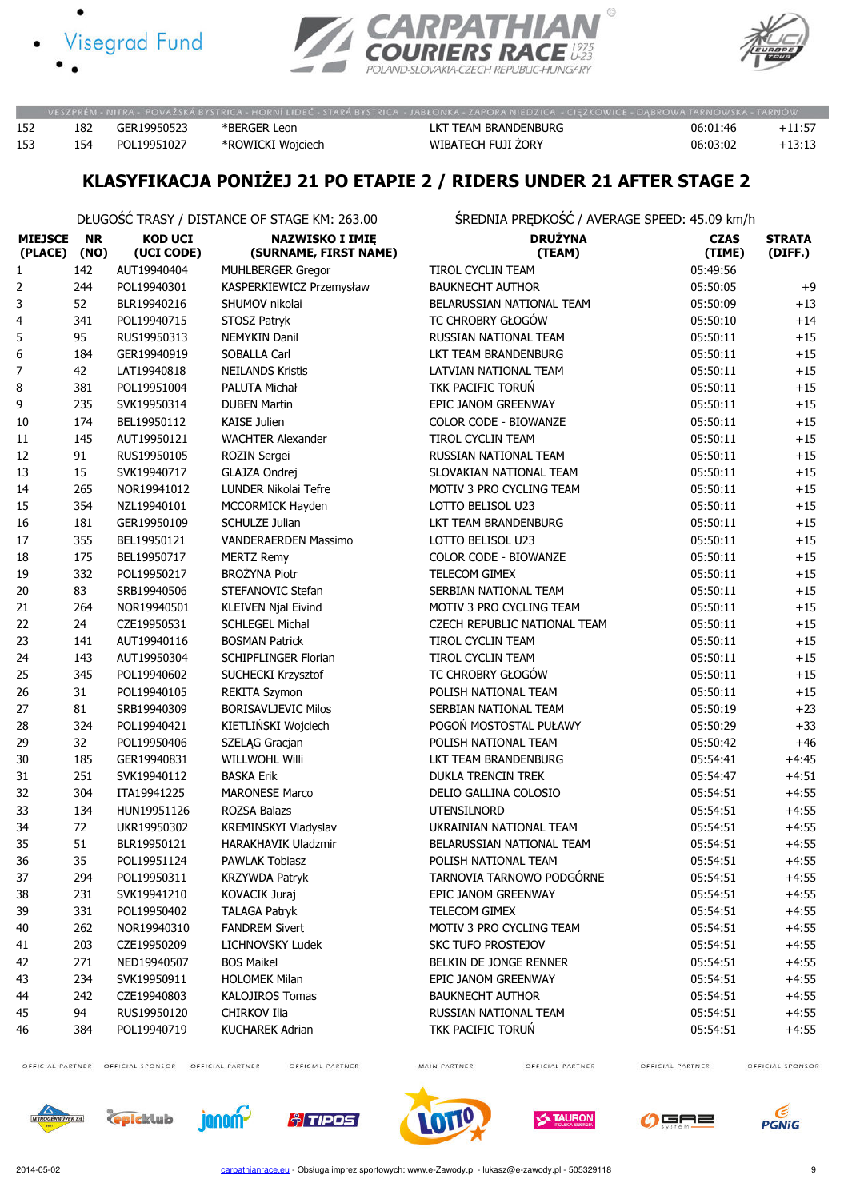





|     |     |             | VESZPRÉM - NITRA - POVAŽSKÁ BYSTRICA - HORNÍ LIDEČ - STARÁ BYSTRICA - JABLONKA - ZAPORA NIEDZICA - CIEŽKOWICE - DABROWA TARNOWSKA - TARNÓW |                      |          |          |
|-----|-----|-------------|--------------------------------------------------------------------------------------------------------------------------------------------|----------------------|----------|----------|
| 152 | 182 | GER19950523 | *BERGER Leon                                                                                                                               | LKT TEAM BRANDENBURG | 06:01:46 | $+11:57$ |
| 153 | 154 | POL19951027 | *ROWICKI Wojciech                                                                                                                          | WIBATECH FUJI ZORY   | 06:03:02 | $+13:13$ |

### KLASYFIKACJA PONIŻEJ 21 PO ETAPIE 2 / RIDERS UNDER 21 AFTER STAGE 2

DŁUGOŚĆ TRASY / DISTANCE OF STAGE KM: 263.00 ŚREDNIA PRĘDKOŚĆ / AVERAGE SPEED: 45.09 km/h

| <b>MIEJSCE</b><br>(PLACE) | <b>NR</b><br>(NO) | <b>KOD UCI</b><br>(UCI CODE) | <b>NAZWISKO I IMIĘ</b><br>(SURNAME, FIRST NAME) | <b>DRUŻYNA</b><br>(TEAM)     | <b>CZAS</b><br>(TIME) | <b>STRATA</b><br>(DIFF.) |
|---------------------------|-------------------|------------------------------|-------------------------------------------------|------------------------------|-----------------------|--------------------------|
| 1                         | 142               | AUT19940404                  | <b>MUHLBERGER Gregor</b>                        | <b>TIROL CYCLIN TEAM</b>     | 05:49:56              |                          |
| 2                         | 244               | POL19940301                  | KASPERKIEWICZ Przemysław                        | <b>BAUKNECHT AUTHOR</b>      | 05:50:05              | $+9$                     |
| 3                         | 52                | BLR19940216                  | SHUMOV nikolai                                  | BELARUSSIAN NATIONAL TEAM    | 05:50:09              | $+13$                    |
| 4                         | 341               | POL19940715                  | STOSZ Patryk                                    | TC CHROBRY GŁOGÓW            | 05:50:10              | $+14$                    |
| 5                         | 95                | RUS19950313                  | <b>NEMYKIN Danil</b>                            | RUSSIAN NATIONAL TEAM        | 05:50:11              | $+15$                    |
| 6                         | 184               | GER19940919                  | SOBALLA Carl                                    | LKT TEAM BRANDENBURG         | 05:50:11              | $+15$                    |
| 7                         | 42                | LAT19940818                  | <b>NEILANDS Kristis</b>                         | LATVIAN NATIONAL TEAM        | 05:50:11              | $+15$                    |
| 8                         | 381               | POL19951004                  | PALUTA Michał                                   | TKK PACIFIC TORUŃ            | 05:50:11              | $+15$                    |
| 9                         | 235               | SVK19950314                  | <b>DUBEN Martin</b>                             | EPIC JANOM GREENWAY          | 05:50:11              | $+15$                    |
| 10                        | 174               | BEL19950112                  | <b>KAISE Julien</b>                             | <b>COLOR CODE - BIOWANZE</b> | 05:50:11              | $+15$                    |
| 11                        | 145               | AUT19950121                  | <b>WACHTER Alexander</b>                        | <b>TIROL CYCLIN TEAM</b>     | 05:50:11              | $+15$                    |
| 12                        | 91                | RUS19950105                  | ROZIN Sergei                                    | RUSSIAN NATIONAL TEAM        | 05:50:11              | $+15$                    |
| 13                        | 15                | SVK19940717                  | GLAJZA Ondrej                                   | SLOVAKIAN NATIONAL TEAM      | 05:50:11              | $+15$                    |
| 14                        | 265               | NOR19941012                  | LUNDER Nikolai Tefre                            | MOTIV 3 PRO CYCLING TEAM     | 05:50:11              | $+15$                    |
| 15                        | 354               | NZL19940101                  | MCCORMICK Hayden                                | LOTTO BELISOL U23            | 05:50:11              | $+15$                    |
| 16                        | 181               | GER19950109                  | <b>SCHULZE Julian</b>                           | LKT TEAM BRANDENBURG         | 05:50:11              | $+15$                    |
| 17                        | 355               | BEL19950121                  | VANDERAERDEN Massimo                            | LOTTO BELISOL U23            | 05:50:11              | $+15$                    |
| 18                        | 175               | BEL19950717                  | <b>MERTZ Remy</b>                               | COLOR CODE - BIOWANZE        | 05:50:11              | $+15$                    |
| 19                        | 332               | POL19950217                  | <b>BROŻYNA Piotr</b>                            | TELECOM GIMEX                | 05:50:11              | $+15$                    |
| 20                        | 83                | SRB19940506                  | STEFANOVIC Stefan                               | <b>SERBIAN NATIONAL TEAM</b> | 05:50:11              | $+15$                    |
| 21                        | 264               | NOR19940501                  | <b>KLEIVEN Njal Eivind</b>                      | MOTIV 3 PRO CYCLING TEAM     | 05:50:11              | $+15$                    |
| 22                        | 24                | CZE19950531                  | <b>SCHLEGEL Michal</b>                          | CZECH REPUBLIC NATIONAL TEAM | 05:50:11              | $+15$                    |
| 23                        | 141               | AUT19940116                  | <b>BOSMAN Patrick</b>                           | TIROL CYCLIN TEAM            | 05:50:11              | $+15$                    |
| 24                        | 143               | AUT19950304                  | <b>SCHIPFLINGER Florian</b>                     | TIROL CYCLIN TEAM            | 05:50:11              | $+15\,$                  |
| 25                        | 345               | POL19940602                  | SUCHECKI Krzysztof                              | TC CHROBRY GŁOGÓW            | 05:50:11              | $+15$                    |
| 26                        | 31                | POL19940105                  | <b>REKITA Szymon</b>                            | POLISH NATIONAL TEAM         | 05:50:11              | $+15$                    |
| 27                        | 81                | SRB19940309                  | <b>BORISAVLJEVIC Milos</b>                      | SERBIAN NATIONAL TEAM        | 05:50:19              | $+23$                    |
| 28                        | 324               | POL19940421                  | KIETLIŃSKI Wojciech                             | POGOŃ MOSTOSTAL PUŁAWY       | 05:50:29              | $+33$                    |
| 29                        | 32                | POL19950406                  | SZELĄG Gracjan                                  | POLISH NATIONAL TEAM         | 05:50:42              | $+46$                    |
| 30                        | 185               | GER19940831                  | WILLWOHL Willi                                  | LKT TEAM BRANDENBURG         | 05:54:41              | $+4:45$                  |
| 31                        | 251               | SVK19940112                  | <b>BASKA Erik</b>                               | <b>DUKLA TRENCIN TREK</b>    | 05:54:47              | $+4:51$                  |
| 32                        | 304               | ITA19941225                  | <b>MARONESE Marco</b>                           | DELIO GALLINA COLOSIO        | 05:54:51              | $+4:55$                  |
| 33                        | 134               | HUN19951126                  | ROZSA Balazs                                    | <b>UTENSILNORD</b>           | 05:54:51              | $+4:55$                  |
| 34                        | 72                | UKR19950302                  | KREMINSKYI Vladyslav                            | UKRAINIAN NATIONAL TEAM      | 05:54:51              | $+4:55$                  |
| 35                        | 51                | BLR19950121                  | HARAKHAVIK Uladzmir                             | BELARUSSIAN NATIONAL TEAM    | 05:54:51              | $+4:55$                  |
| 36                        | 35                | POL19951124                  | <b>PAWLAK Tobiasz</b>                           | POLISH NATIONAL TEAM         | 05:54:51              | $+4:55$                  |
| 37                        | 294               | POL19950311                  | <b>KRZYWDA Patryk</b>                           | TARNOVIA TARNOWO PODGÓRNE    | 05:54:51              | $+4:55$                  |
| 38                        | 231               | SVK19941210                  | <b>KOVACIK Juraj</b>                            | EPIC JANOM GREENWAY          | 05:54:51              | $+4:55$                  |
| 39                        | 331               | POL19950402                  | <b>TALAGA Patryk</b>                            | TELECOM GIMEX                | 05:54:51              | $+4:55$                  |
| 40                        | 262               | NOR19940310                  | <b>FANDREM Sivert</b>                           | MOTIV 3 PRO CYCLING TEAM     | 05:54:51              | $+4:55$                  |
| 41                        | 203               | CZE19950209                  | LICHNOVSKY Ludek                                | <b>SKC TUFO PROSTEJOV</b>    | 05:54:51              | $+4:55$                  |
| 42                        | 271               | NED19940507                  | <b>BOS Maikel</b>                               | BELKIN DE JONGE RENNER       | 05:54:51              | $+4:55$                  |
| 43                        | 234               | SVK19950911                  | <b>HOLOMEK Milan</b>                            | EPIC JANOM GREENWAY          | 05:54:51              | $+4:55$                  |
| 44                        | 242               | CZE19940803                  | <b>KALOJIROS Tomas</b>                          | <b>BAUKNECHT AUTHOR</b>      | 05:54:51              | $+4:55$                  |
| 45                        | 94                | RUS19950120                  | CHIRKOV Ilia                                    | RUSSIAN NATIONAL TEAM        | 05:54:51              | $+4:55$                  |
| 46                        | 384               | POL19940719                  | <b>KUCHAREK Adrian</b>                          | TKK PACIFIC TORUŃ            | 05:54:51              | $+4:55$                  |

OFFICIAL PARTNER OFFICIAL SPONSOR OFFICIAL PARTNER

OFFICIAL PARTNER

MAIN PARTNER

OFFICIAL PARTNER

OFFICIAL PARTNER













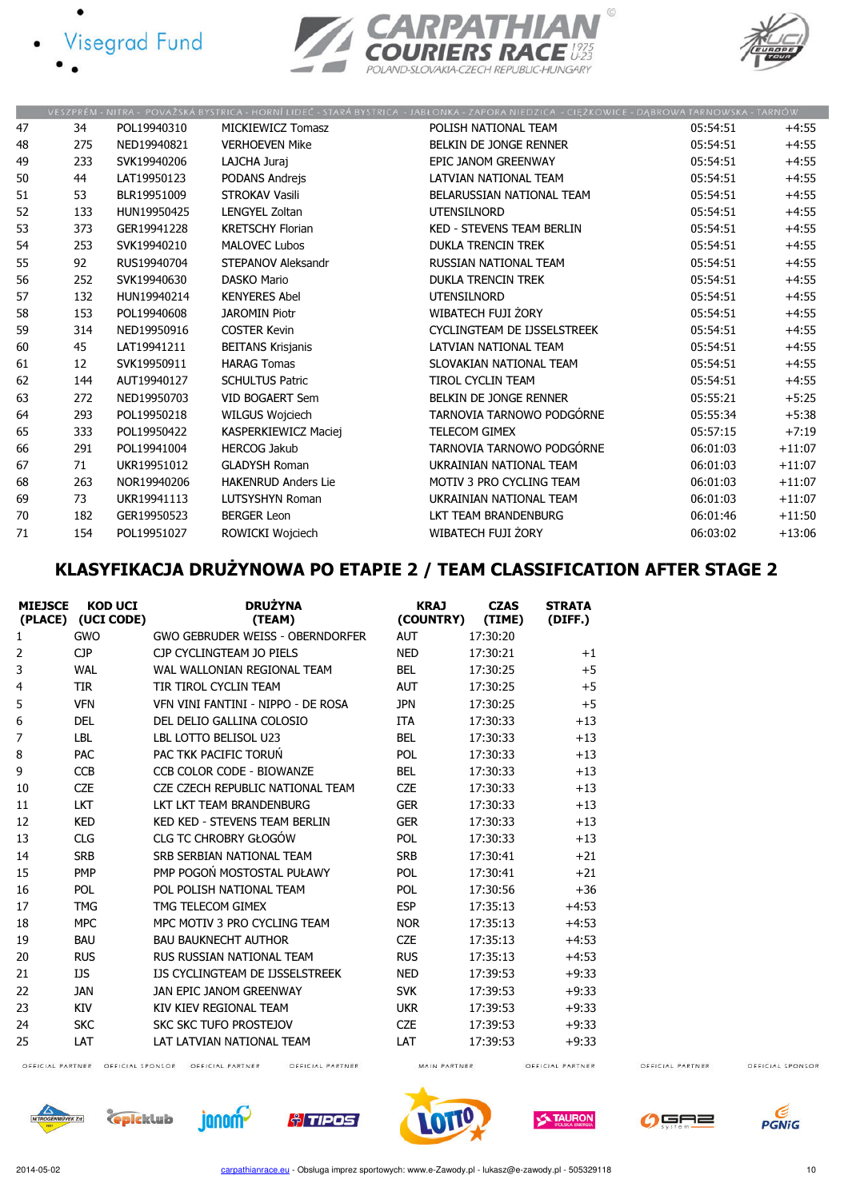





|    |     |             |                            | VESZPRÉM - NITRA - POVAŽSKÁ BYSTRICA - HORNÍ LIDEČ - STARÁ BYSTRICA - JABŁONKA - ZAPORA NIEDZICA - CIĘŻKOWICE - DĄBROWA TARNOWSKA - TARNÓW |          |          |
|----|-----|-------------|----------------------------|--------------------------------------------------------------------------------------------------------------------------------------------|----------|----------|
| 47 | 34  | POL19940310 | MICKIEWICZ Tomasz          | POLISH NATIONAL TEAM                                                                                                                       | 05:54:51 | $+4:55$  |
| 48 | 275 | NED19940821 | <b>VERHOEVEN Mike</b>      | BELKIN DE JONGE RENNER                                                                                                                     | 05:54:51 | $+4:55$  |
| 49 | 233 | SVK19940206 | LAJCHA Juraj               | EPIC JANOM GREENWAY                                                                                                                        | 05:54:51 | $+4:55$  |
| 50 | 44  | LAT19950123 | PODANS Andrejs             | LATVIAN NATIONAL TEAM                                                                                                                      | 05:54:51 | $+4:55$  |
| 51 | 53  | BLR19951009 | <b>STROKAV Vasili</b>      | BELARUSSIAN NATIONAL TEAM                                                                                                                  | 05:54:51 | $+4:55$  |
| 52 | 133 | HUN19950425 | LENGYEL Zoltan             | <b>UTENSILNORD</b>                                                                                                                         | 05:54:51 | $+4:55$  |
| 53 | 373 | GER19941228 | <b>KRETSCHY Florian</b>    | <b>KED - STEVENS TEAM BERLIN</b>                                                                                                           | 05:54:51 | $+4:55$  |
| 54 | 253 | SVK19940210 | <b>MALOVEC Lubos</b>       | <b>DUKLA TRENCIN TREK</b>                                                                                                                  | 05:54:51 | $+4:55$  |
| 55 | 92  | RUS19940704 | STEPANOV Aleksandr         | RUSSIAN NATIONAL TEAM                                                                                                                      | 05:54:51 | $+4:55$  |
| 56 | 252 | SVK19940630 | <b>DASKO Mario</b>         | <b>DUKLA TRENCIN TREK</b>                                                                                                                  | 05:54:51 | $+4:55$  |
| 57 | 132 | HUN19940214 | <b>KENYERES Abel</b>       | <b>UTENSILNORD</b>                                                                                                                         | 05:54:51 | $+4:55$  |
| 58 | 153 | POL19940608 | <b>JAROMIN Piotr</b>       | WIBATECH FUJI ŻORY                                                                                                                         | 05:54:51 | $+4:55$  |
| 59 | 314 | NED19950916 | <b>COSTER Kevin</b>        | CYCLINGTEAM DE IJSSELSTREEK                                                                                                                | 05:54:51 | $+4:55$  |
| 60 | 45  | LAT19941211 | <b>BEITANS Krisjanis</b>   | LATVIAN NATIONAL TEAM                                                                                                                      | 05:54:51 | $+4:55$  |
| 61 | 12  | SVK19950911 | <b>HARAG Tomas</b>         | SLOVAKIAN NATIONAL TEAM                                                                                                                    | 05:54:51 | $+4:55$  |
| 62 | 144 | AUT19940127 | <b>SCHULTUS Patric</b>     | TIROL CYCLIN TEAM                                                                                                                          | 05:54:51 | $+4:55$  |
| 63 | 272 | NED19950703 | VID BOGAERT Sem            | <b>BELKIN DE JONGE RENNER</b>                                                                                                              | 05:55:21 | $+5:25$  |
| 64 | 293 | POL19950218 | WILGUS Wojciech            | TARNOVIA TARNOWO PODGÓRNE                                                                                                                  | 05:55:34 | $+5:38$  |
| 65 | 333 | POL19950422 | KASPERKIEWICZ Maciej       | <b>TELECOM GIMEX</b>                                                                                                                       | 05:57:15 | $+7:19$  |
| 66 | 291 | POL19941004 | <b>HERCOG Jakub</b>        | TARNOVIA TARNOWO PODGÓRNE                                                                                                                  | 06:01:03 | $+11:07$ |
| 67 | 71  | UKR19951012 | <b>GLADYSH Roman</b>       | UKRAINIAN NATIONAL TEAM                                                                                                                    | 06:01:03 | $+11:07$ |
| 68 | 263 | NOR19940206 | <b>HAKENRUD Anders Lie</b> | MOTIV 3 PRO CYCLING TEAM                                                                                                                   | 06:01:03 | $+11:07$ |
| 69 | 73  | UKR19941113 | LUTSYSHYN Roman            | UKRAINIAN NATIONAL TEAM                                                                                                                    | 06:01:03 | $+11:07$ |
| 70 | 182 | GER19950523 | <b>BERGER Leon</b>         | LKT TEAM BRANDENBURG                                                                                                                       | 06:01:46 | $+11:50$ |
| 71 | 154 | POL19951027 | ROWICKI Woiciech           | WIBATECH FUJI ŻORY                                                                                                                         | 06:03:02 | $+13:06$ |

# KLASYFIKACJA DRUŻYNOWA PO ETAPIE 2 / TEAM CLASSIFICATION AFTER STAGE 2

| <b>MIEJSCE</b> | <b>KOD UCI</b><br>(PLACE) (UCI CODE) | <b>DRUŻYNA</b><br>(TEAM)               | <b>KRAJ</b><br>(COUNTRY) | <b>CZAS</b><br>(TIME) | <b>STRATA</b><br>(DIFF.) |
|----------------|--------------------------------------|----------------------------------------|--------------------------|-----------------------|--------------------------|
| 1              | <b>GWO</b>                           | GWO GEBRUDER WEISS - OBERNDORFER       | <b>AUT</b>               | 17:30:20              |                          |
| 2              | <b>CJP</b>                           | CJP CYCLINGTEAM JO PIELS               | <b>NED</b>               | 17:30:21              | $+1$                     |
| 3              | <b>WAL</b>                           | WAL WALLONIAN REGIONAL TEAM            | <b>BEL</b>               | 17:30:25              | $+5$                     |
| 4              | <b>TIR</b>                           | TIR TIROL CYCLIN TEAM                  | <b>AUT</b>               | 17:30:25              | $+5$                     |
| 5              | <b>VFN</b>                           | VEN VINI FANTINI - NIPPO - DE ROSA     | <b>JPN</b>               | 17:30:25              | $+5$                     |
| 6              | <b>DEL</b>                           | DEL DELIO GALLINA COLOSIO              | <b>ITA</b>               | 17:30:33              | $+13$                    |
| 7              | <b>LBL</b>                           | LBL LOTTO BELISOL U23                  | <b>BEL</b>               | 17:30:33              | $+13$                    |
| 8              | <b>PAC</b>                           | PAC TKK PACIFIC TORUN                  | POL                      | 17:30:33              | $+13$                    |
| 9              | <b>CCB</b>                           | CCB COLOR CODE - BIOWANZE              | <b>BEL</b>               | 17:30:33              | $+13$                    |
| 10             | <b>CZE</b>                           | CZE CZECH REPUBLIC NATIONAL TEAM       | <b>CZE</b>               | 17:30:33              | $+13$                    |
| 11             | <b>LKT</b>                           | <b>IKT IKT TFAM BRANDFNBURG</b>        | <b>GER</b>               | 17:30:33              | $+13$                    |
| 12             | <b>KED</b>                           | KED KED - STEVENS TEAM BERLIN          | <b>GER</b>               | 17:30:33              | $+13$                    |
| 13             | <b>CLG</b>                           | CLG TC CHROBRY GŁOGÓW                  | <b>POL</b>               | 17:30:33              | $+13$                    |
| 14             | <b>SRB</b>                           | SRB SERBIAN NATIONAL TEAM              | <b>SRB</b>               | 17:30:41              | $+21$                    |
| 15             | PMP                                  | PMP POGOŃ MOSTOSTAL PUŁAWY             | <b>POL</b>               | 17:30:41              | $+21$                    |
| 16             | <b>POL</b>                           | POL POLISH NATIONAL TEAM               | POL                      | 17:30:56              | $+36$                    |
| 17             | <b>TMG</b>                           | TMG TFI FCOM GIMEX                     | <b>ESP</b>               | 17:35:13              | $+4:53$                  |
| 18             | <b>MPC</b>                           | MPC MOTIV 3 PRO CYCLING TEAM           | <b>NOR</b>               | 17:35:13              | $+4:53$                  |
| 19             | <b>BAU</b>                           | <b>BAU BAUKNECHT AUTHOR</b>            | <b>CZE</b>               | 17:35:13              | $+4:53$                  |
| 20             | <b>RUS</b>                           | RUS RUSSIAN NATIONAL TFAM              | <b>RUS</b>               | 17:35:13              | $+4:53$                  |
| 21             | <b>IJS</b>                           | <b>IJS CYCLINGTEAM DE IJSSELSTREEK</b> | <b>NFD</b>               | 17:39:53              | $+9:33$                  |
| 22             | <b>JAN</b>                           | JAN EPIC JANOM GREENWAY                | <b>SVK</b>               | 17:39:53              | $+9:33$                  |
| 23             | <b>KIV</b>                           | KIV KIFV REGIONAL TEAM                 | <b>UKR</b>               | 17:39:53              | $+9:33$                  |
| 24             | <b>SKC</b>                           | <b>SKC SKC TUFO PROSTEJOV</b>          | <b>CZE</b>               | 17:39:53              | $+9:33$                  |
| 25             | LAT                                  | LAT LATVIAN NATIONAL TEAM              | LAT                      | 17:39:53              | $+9:33$                  |
|                | OFFICIAL PARTNER OFFICIAL SPONSOR    | OFFICIAL PARTNER<br>OFFICIAL PARTNER   | MAIN PARTNER             |                       | OFFICIAL PARTNER         |

OFFICIAL PARTNER

OFFICIAL SPONSOR



OFFICIAL PARTNER OFFICIAL SPONSOR OFFICIAL PARTNER









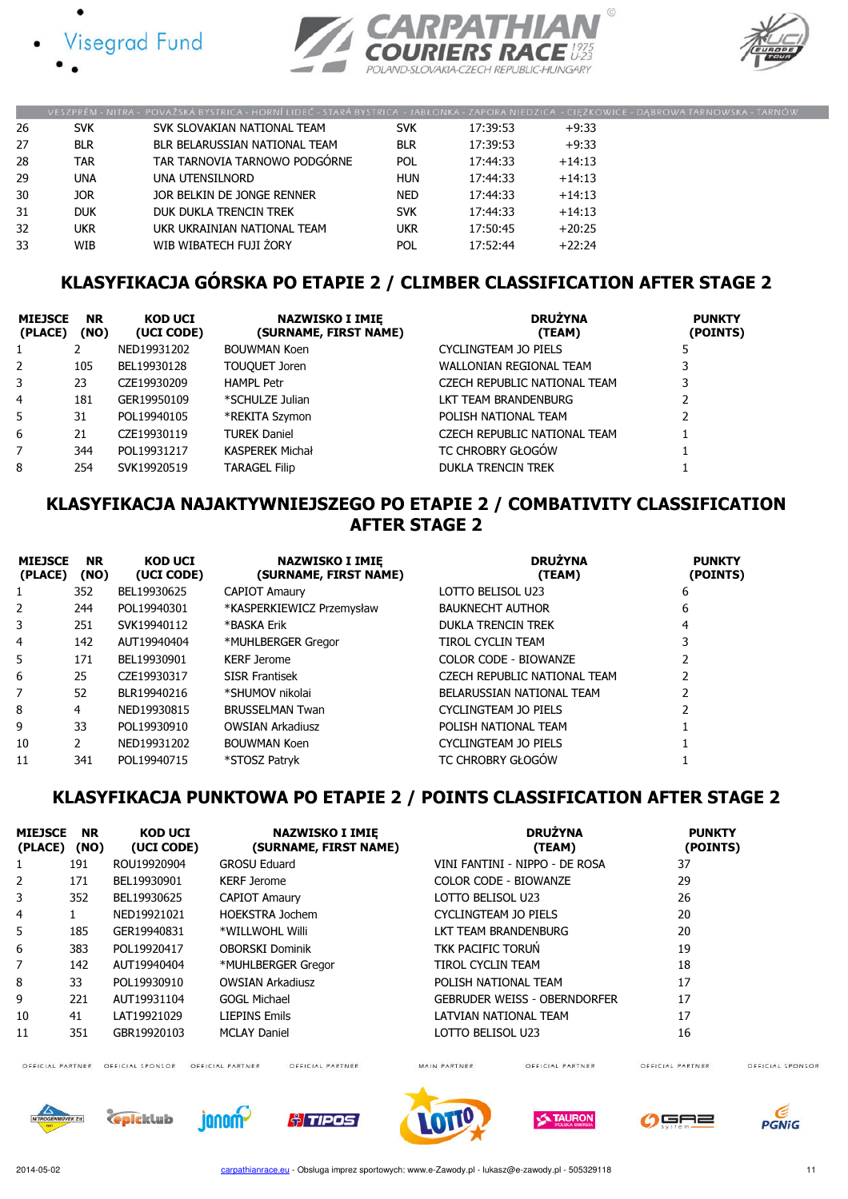





|    |            | VESZPRÉM - NITRA - POVAŽSKÁ BYSTRICA - HORNÍ LIDEČ - STARÁ BYSTRICA - JABLONKA - ZAPORA NIEDZICA - CIĘŻKOWICE - DĄBROWA TARNOWSKA - TARN |            |          |          |  |
|----|------------|------------------------------------------------------------------------------------------------------------------------------------------|------------|----------|----------|--|
| 26 | <b>SVK</b> | SVK SLOVAKIAN NATIONAL TEAM                                                                                                              | <b>SVK</b> | 17:39:53 | +9:33    |  |
| 27 | <b>BLR</b> | BLR BELARUSSIAN NATIONAL TEAM                                                                                                            | <b>BLR</b> | 17:39:53 | $+9:33$  |  |
| 28 | <b>TAR</b> | TAR TARNOVIA TARNOWO PODGÓRNE                                                                                                            | <b>POL</b> | 17:44:33 | $+14:13$ |  |
| 29 | <b>UNA</b> | UNA UTENSILNORD                                                                                                                          | <b>HUN</b> | 17:44:33 | $+14:13$ |  |
| 30 | <b>JOR</b> | JOR BELKIN DE JONGE RENNER                                                                                                               | <b>NED</b> | 17:44:33 | $+14:13$ |  |
| 31 | <b>DUK</b> | DUK DUKLA TRENCIN TREK                                                                                                                   | <b>SVK</b> | 17:44:33 | $+14:13$ |  |
| 32 | <b>UKR</b> | UKR UKRAINIAN NATIONAL TEAM                                                                                                              | ukr        | 17:50:45 | $+20:25$ |  |
| 33 | WIB        | WIB WIBATECH FUJI ŻORY                                                                                                                   | POL        | 17:52:44 | $+22:24$ |  |

### KLASYFIKACJA GÓRSKA PO ETAPIE 2 / CLIMBER CLASSIFICATION AFTER STAGE 2

| <b>MIEJSCE</b><br>(PLACE) | <b>NR</b><br>(NO) | <b>KOD UCI</b><br>(UCI CODE) | <b>NAZWISKO I IMIE</b><br>(SURNAME, FIRST NAME) | <b>DRUŻYNA</b><br>(TEAM)     | <b>PUNKTY</b><br>(POINTS) |
|---------------------------|-------------------|------------------------------|-------------------------------------------------|------------------------------|---------------------------|
|                           |                   | NED19931202                  | <b>BOUWMAN Koen</b>                             | CYCLINGTEAM JO PIELS         |                           |
| 2                         | 105               | BEL19930128                  | TOUQUET Joren                                   | WALLONIAN REGIONAL TEAM      |                           |
| 3                         | 23                | CZE19930209                  | <b>HAMPL Petr</b>                               | CZECH REPUBLIC NATIONAL TEAM |                           |
| 4                         | 181               | GER19950109                  | *SCHULZE Julian                                 | LKT TEAM BRANDENBURG         |                           |
| 5                         | 31                | POL19940105                  | *REKITA Szymon                                  | POLISH NATIONAL TEAM         |                           |
| 6                         | 21                | CZE19930119                  | <b>TUREK Daniel</b>                             | CZECH REPUBLIC NATIONAL TEAM |                           |
| 7                         | 344               | POL19931217                  | <b>KASPEREK Michał</b>                          | <b>TC CHROBRY GŁOGÓW</b>     |                           |
| 8                         | 254               | SVK19920519                  | TARAGEL Filip                                   | <b>DUKLA TRENCIN TREK</b>    |                           |

### KLASYFIKACJA NAJAKTYWNIEJSZEGO PO ETAPIE 2 / COMBATIVITY CLASSIFICATION AFTER STAGE 2

| <b>MIEJSCE</b><br>(PLACE) | <b>NR</b><br>(NO) | <b>KOD UCI</b><br>(UCI CODE) | <b>NAZWISKO I IMIE</b><br>(SURNAME, FIRST NAME) | <b>DRUŻYNA</b><br>(TEAM)     | <b>PUNKTY</b><br>(POINTS) |
|---------------------------|-------------------|------------------------------|-------------------------------------------------|------------------------------|---------------------------|
|                           | 352               | BEL19930625                  | <b>CAPIOT Amaury</b>                            | LOTTO BELISOL U23            | 6                         |
| 2                         | 244               | POL19940301                  | *KASPERKIEWICZ Przemysław                       | <b>BAUKNECHT AUTHOR</b>      | 6                         |
| 3                         | 251               | SVK19940112                  | *BASKA Erik                                     | <b>DUKLA TRENCIN TREK</b>    | 4                         |
| 4                         | 142               | AUT19940404                  | *MUHLBERGER Gregor                              | <b>TIROL CYCLIN TEAM</b>     |                           |
| 5                         | 171               | BEL19930901                  | <b>KERF Jerome</b>                              | COLOR CODE - BIOWANZE        |                           |
| 6                         | 25                | CZE19930317                  | <b>SISR Frantisek</b>                           | CZECH REPUBLIC NATIONAL TEAM |                           |
| 7                         | 52                | BLR19940216                  | *SHUMOV nikolai                                 | BELARUSSIAN NATIONAL TEAM    |                           |
| 8                         | 4                 | NED19930815                  | <b>BRUSSELMAN Twan</b>                          | CYCLINGTEAM JO PIELS         |                           |
| 9                         | 33                | POL19930910                  | <b>OWSIAN Arkadiusz</b>                         | POLISH NATIONAL TEAM         |                           |
| 10                        | 2                 | NED19931202                  | <b>BOUWMAN Koen</b>                             | CYCLINGTEAM JO PIELS         |                           |
| 11                        | 341               | POL19940715                  | *STOSZ Patryk                                   | TC CHROBRY GŁOGÓW            |                           |

### KLASYFIKACJA PUNKTOWA PO ETAPIE 2 / POINTS CLASSIFICATION AFTER STAGE 2

| <b>MIEJSCE</b><br>(PLACE) | <b>NR</b><br>(NO) | <b>KOD UCI</b><br>(UCI CODE) | <b>NAZWISKO I IMIE</b><br>(SURNAME, FIRST NAME) | <b>DRUŻYNA</b><br>(TEAM)            | <b>PUNKTY</b><br>(POINTS) |
|---------------------------|-------------------|------------------------------|-------------------------------------------------|-------------------------------------|---------------------------|
| 1                         | 191               | ROU19920904                  | <b>GROSU Eduard</b>                             | VINI FANTINI - NIPPO - DE ROSA      | 37                        |
| 2                         | 171               | BEL19930901                  | <b>KERF Jerome</b>                              | <b>COLOR CODE - BIOWANZE</b>        | 29                        |
| 3                         | 352               | BEL19930625                  | <b>CAPIOT Amaury</b>                            | LOTTO BELISOL U23                   | 26                        |
| 4                         |                   | NED19921021                  | <b>HOEKSTRA Jochem</b>                          | CYCLINGTEAM JO PIELS                | 20                        |
| 5                         | 185               | GER19940831                  | *WILLWOHL Willi                                 | <b>LKT TEAM BRANDENBURG</b>         | 20                        |
| 6                         | 383               | POL19920417                  | <b>OBORSKI Dominik</b>                          | <b>TKK PACIFIC TORUN</b>            | 19                        |
| 7                         | 142               | AUT19940404                  | *MUHLBERGER Gregor                              | <b>TIROL CYCLIN TEAM</b>            | 18                        |
| 8                         | 33                | POL19930910                  | <b>OWSIAN Arkadiusz</b>                         | POLISH NATIONAL TEAM                | 17                        |
| 9                         | 221               | AUT19931104                  | <b>GOGL Michael</b>                             | <b>GEBRUDER WEISS - OBERNDORFER</b> | 17                        |
| 10                        | 41                | LAT19921029                  | <b>LIEPINS Emils</b>                            | LATVIAN NATIONAL TEAM               | 17                        |
| 11                        | 351               | GBR19920103                  | <b>MCLAY Daniel</b>                             | LOTTO BELISOL U23                   | 16                        |

OFFICIAL PARTNER OFFICIAL SPONSOR OFFICIAL PARTNER

OFFICIAL PARTNER

MAIN PARTNER



OFFICIAL SPONSOR











OFFICIAL PARTNER



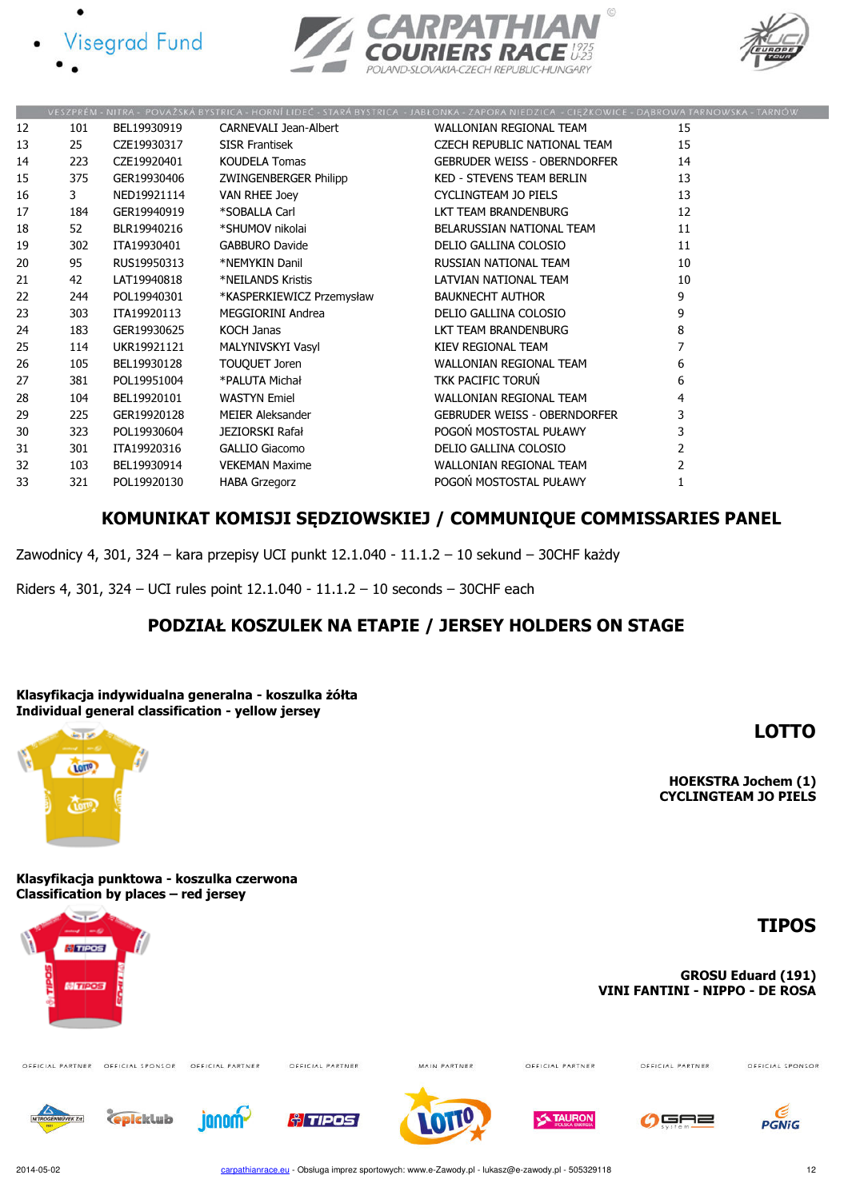





|    |     |             |                              | VESZPRÉM - NITRA - POVAŽSKÁ BYSTRICA - HORNÍ LIDEČ - STARÁ BYSTRICA - JABŁONKA - ZAPORA NIEDZICA - CIĘŽKOWICE - DĄBROWA TARNOWSKA - TARNOV |                |
|----|-----|-------------|------------------------------|--------------------------------------------------------------------------------------------------------------------------------------------|----------------|
| 12 | 101 | BEL19930919 | <b>CARNEVALI Jean-Albert</b> | WALLONIAN REGIONAL TEAM                                                                                                                    | 15             |
| 13 | 25  | CZE19930317 | <b>SISR Frantisek</b>        | CZECH REPUBLIC NATIONAL TEAM                                                                                                               | 15             |
| 14 | 223 | CZE19920401 | <b>KOUDELA Tomas</b>         | <b>GEBRUDER WEISS - OBERNDORFER</b>                                                                                                        | 14             |
| 15 | 375 | GER19930406 | ZWINGENBERGER Philipp        | <b>KED - STEVENS TEAM BERLIN</b>                                                                                                           | 13             |
| 16 | 3   | NED19921114 | VAN RHEE Joey                | CYCLINGTEAM JO PIELS                                                                                                                       | 13             |
| 17 | 184 | GER19940919 | *SOBALLA Carl                | LKT TEAM BRANDENBURG                                                                                                                       | 12             |
| 18 | 52  | BLR19940216 | *SHUMOV nikolai              | BELARUSSIAN NATIONAL TEAM                                                                                                                  | 11             |
| 19 | 302 | ITA19930401 | GABBURO Davide               | DELIO GALLINA COLOSIO                                                                                                                      | 11             |
| 20 | 95  | RUS19950313 | *NEMYKIN Danil               | RUSSIAN NATIONAL TEAM                                                                                                                      | 10             |
| 21 | 42  | LAT19940818 | *NEILANDS Kristis            | LATVIAN NATIONAL TEAM                                                                                                                      | 10             |
| 22 | 244 | POL19940301 | *KASPERKIEWICZ Przemysław    | <b>BAUKNECHT AUTHOR</b>                                                                                                                    | 9              |
| 23 | 303 | ITA19920113 | MEGGIORINI Andrea            | DELIO GALLINA COLOSIO                                                                                                                      | 9              |
| 24 | 183 | GER19930625 | KOCH Janas                   | LKT TEAM BRANDENBURG                                                                                                                       | 8              |
| 25 | 114 | UKR19921121 | MALYNIVSKYI Vasyl            | KIEV REGIONAL TEAM                                                                                                                         |                |
| 26 | 105 | BEL19930128 | TOUQUET Joren                | WALLONIAN REGIONAL TEAM                                                                                                                    | 6              |
| 27 | 381 | POL19951004 | *PALUTA Michał               | TKK PACIFIC TORUN                                                                                                                          | 6              |
| 28 | 104 | BEL19920101 | <b>WASTYN Emiel</b>          | WALLONIAN REGIONAL TEAM                                                                                                                    | 4              |
| 29 | 225 | GER19920128 | MEIER Aleksander             | <b>GEBRUDER WEISS - OBERNDORFER</b>                                                                                                        | 3              |
| 30 | 323 | POL19930604 | JEZIORSKI Rafał              | POGOŃ MOSTOSTAL PUŁAWY                                                                                                                     | 3              |
| 31 | 301 | ITA19920316 | GALLIO Giacomo               | DELIO GALLINA COLOSIO                                                                                                                      | $\overline{2}$ |
| 32 | 103 | BEL19930914 | <b>VEKEMAN Maxime</b>        | WALLONIAN REGIONAL TEAM                                                                                                                    | $\overline{2}$ |
| 33 | 321 | POL19920130 | <b>HABA Grzegorz</b>         | POGOŃ MOSTOSTAL PUŁAWY                                                                                                                     |                |
|    |     |             |                              |                                                                                                                                            |                |

### KOMUNIKAT KOMISJI SĘDZIOWSKIEJ / COMMUNIQUE COMMISSARIES PANEL

Zawodnicy 4, 301, 324 – kara przepisy UCI punkt 12.1.040 - 11.1.2 – 10 sekund – 30CHF każdy

Riders 4, 301, 324 – UCI rules point 12.1.040 - 11.1.2 – 10 seconds – 30CHF each

### PODZIAŁ KOSZULEK NA ETAPIE / JERSEY HOLDERS ON STAGE

Klasyfikacja indywidualna generalna - koszulka żółta Individual general classification - yellow jersey



Klasyfikacja punktowa - koszulka czerwona Classification by places – red jersey



LOTTO

HOEKSTRA Jochem (1) CYCLINGTEAM JO PIELS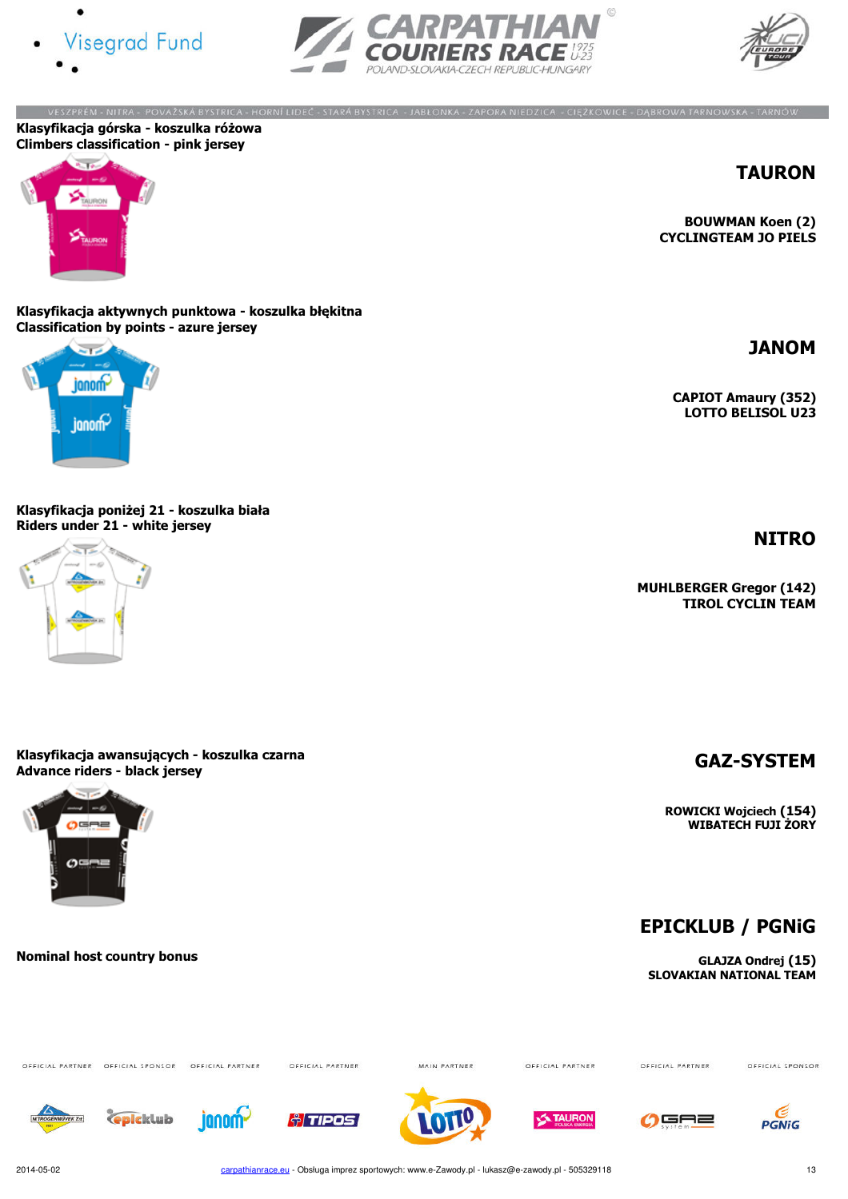





VESZPRÉM - NITRA - POVAŽSKÁ BYSTRICA - HORNÍ LIDEČ - STARÁ BYSTRICA - JABŁONKA - ZAPORA NIEDZICA - CIĘŻKOWICE - DĄBROWA TARNOWSKA - TARNÓW Klasyfikacja górska - koszulka różowa Climbers classification - pink jersey



TAURON

JANOM

**NITRO** 

BOUWMAN Koen (2) CYCLINGTEAM JO PIELS

CAPIOT Amaury (352) LOTTO BELISOL U23

MUHLBERGER Gregor (142) TIROL CYCLIN TEAM

Klasyfikacja aktywnych punktowa - koszulka błękitna Classification by points - azure jersey



Klasyfikacja poniżej 21 - koszulka biała Riders under 21 - white jersey



Klasyfikacja awansujących - koszulka czarna Klasyfikacja awansujących - koszulka czarna<br>Advance riders - black jersey GAZ-SYSTEM



Nominal host country bonus

OFFICIAL PARTNER OFFICIAL SPONSOR OFFICIAL PARTNER

**C**picklub

janom-

OFFICIAL PARTNER

**Al TIPOS** 

MAIN PARTNER

OFFICIAL PARTNER

**TAURON** 

OFFICIAL PARTNER

OFFICIAL SPONSOR





carpathianrace.eu - Obsługa imprez sportowych: www.e-Zawody.pl - lukasz@e-zawody.pl - 505329118 13

ROWICKI Wojciech (154) WIBATECH FUJI ŻORY

EPICKLUB / PGNiG

GLAJZA Ondrej (15) SLOVAKIAN NATIONAL TEAM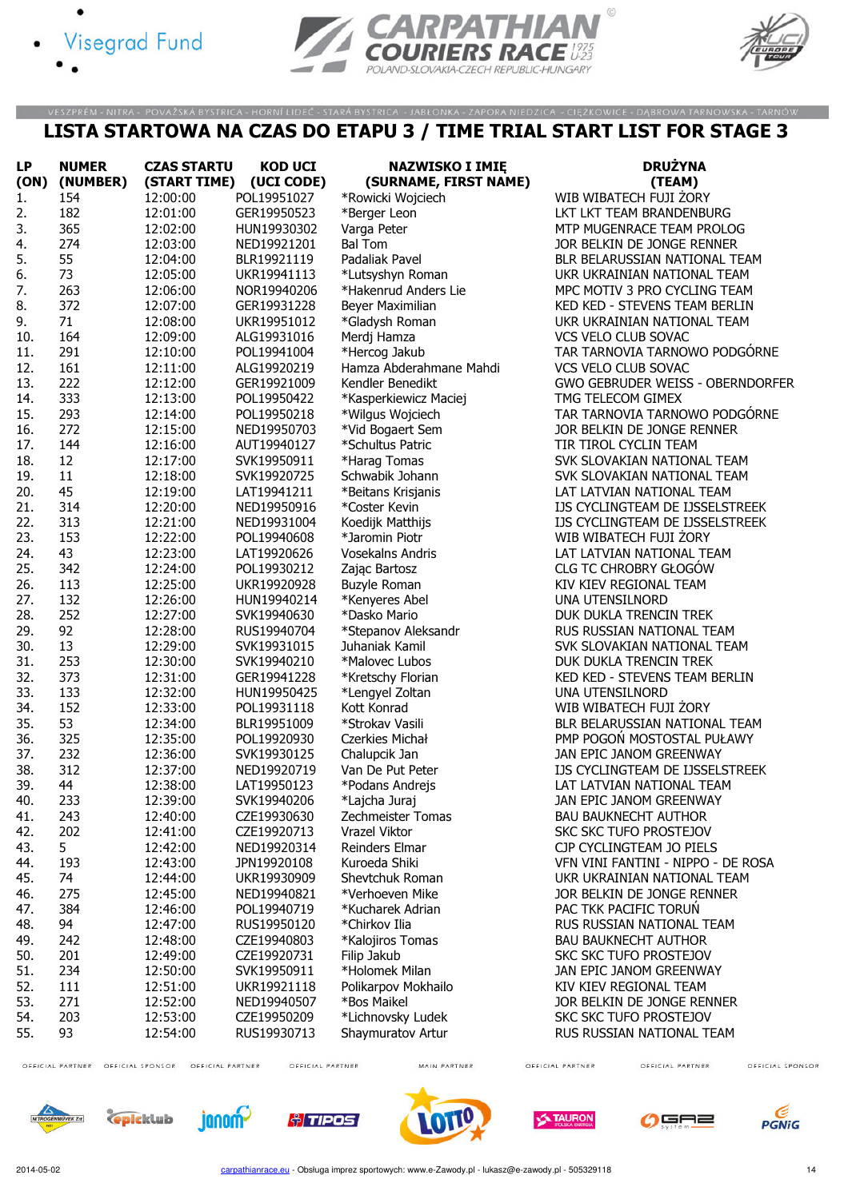- Visegrad Fund
	-





#### LISTA STARTOWA NA CZAS DO ETAPU 3 / TIME TRIAL START LIST FOR STAGE 3

VESZPRÉM - NITRA - POVAŽSKÁ BYSTRICA - HORNÍ LIDEČ - STARÁ BYSTRICA - JABŁONKA - ZAPORA NIEDZICA - CIĘŻKOWICE - DĄBROWA TARNOWSKA - TARNÓW

| <b>LP</b>  | <b>NUMER</b> | <b>CZAS STARTU</b>   | <b>KOD UCI</b>             | <b>NAZWISKO I IMIĘ</b>                | <b>DRUŻYNA</b>                                               |
|------------|--------------|----------------------|----------------------------|---------------------------------------|--------------------------------------------------------------|
| (ON)       | (NUMBER)     | (START TIME)         | (UCI CODE)                 | (SURNAME, FIRST NAME)                 | (TEAM)                                                       |
| 1.         | 154          | 12:00:00             | POL19951027                | *Rowicki Wojciech                     | WIB WIBATECH FUJI ŻORY                                       |
| 2.         | 182          | 12:01:00             | GER19950523                | *Berger Leon                          | LKT LKT TEAM BRANDENBURG                                     |
| 3.         | 365          | 12:02:00             | HUN19930302                | Varga Peter                           | MTP MUGENRACE TEAM PROLOG                                    |
| 4.         | 274          | 12:03:00             | NED19921201                | <b>Bal Tom</b>                        | JOR BELKIN DE JONGE RENNER                                   |
| 5.         | 55           | 12:04:00             | BLR19921119                | Padaliak Pavel                        | BLR BELARUSSIAN NATIONAL TEAM                                |
| 6.         | 73           | 12:05:00             | UKR19941113                | *Lutsyshyn Roman                      | UKR UKRAINIAN NATIONAL TEAM                                  |
| 7.         | 263          | 12:06:00             | NOR19940206                | *Hakenrud Anders Lie                  | MPC MOTIV 3 PRO CYCLING TEAM                                 |
| 8.         | 372          | 12:07:00             | GER19931228                | Beyer Maximilian                      | KED KED - STEVENS TEAM BERLIN                                |
| 9.         | 71           | 12:08:00             | UKR19951012                | *Gladysh Roman                        | UKR UKRAINIAN NATIONAL TEAM                                  |
| 10.        | 164          | 12:09:00             | ALG19931016                | Merdj Hamza                           | VCS VELO CLUB SOVAC                                          |
| 11.        | 291          | 12:10:00             | POL19941004                | *Hercog Jakub                         | TAR TARNOVIA TARNOWO PODGÓRNE                                |
| 12.        | 161          | 12:11:00             | ALG19920219                | Hamza Abderahmane Mahdi               | VCS VELO CLUB SOVAC                                          |
| 13.        | 222          | 12:12:00             | GER19921009                | Kendler Benedikt                      | GWO GEBRUDER WEISS - OBERNDORFER                             |
| 14.        | 333          | 12:13:00             | POL19950422                | *Kasperkiewicz Maciej                 | TMG TELECOM GIMEX                                            |
| 15.        | 293          | 12:14:00             | POL19950218                | *Wilgus Wojciech                      | TAR TARNOVIA TARNOWO PODGÓRNE                                |
| 16.        | 272          | 12:15:00             | NED19950703                | *Vid Bogaert Sem                      | JOR BELKIN DE JONGE RENNER                                   |
| 17.        | 144          | 12:16:00             | AUT19940127                | *Schultus Patric                      | TIR TIROL CYCLIN TEAM                                        |
| 18.        | 12           | 12:17:00             | SVK19950911                | *Harag Tomas                          | SVK SLOVAKIAN NATIONAL TEAM                                  |
| 19.        | 11           | 12:18:00             | SVK19920725                | Schwabik Johann                       | SVK SLOVAKIAN NATIONAL TEAM                                  |
| 20.        | 45           | 12:19:00             | LAT19941211                | *Beitans Krisjanis                    | LAT LATVIAN NATIONAL TEAM                                    |
| 21.        | 314          | 12:20:00             | NED19950916                | *Coster Kevin                         | IJS CYCLINGTEAM DE IJSSELSTREEK                              |
| 22.        | 313          | 12:21:00             | NED19931004                | Koedijk Matthijs                      | IJS CYCLINGTEAM DE IJSSELSTREEK                              |
| 23.        | 153          | 12:22:00             | POL19940608                | *Jaromin Piotr                        | WIB WIBATECH FUJI ŻORY                                       |
| 24.        | 43           | 12:23:00             | LAT19920626                | <b>Vosekalns Andris</b>               | LAT LATVIAN NATIONAL TEAM                                    |
| 25.        | 342          | 12:24:00             | POL19930212                | Zając Bartosz                         | <b>CLG TC CHROBRY GŁOGÓW</b>                                 |
| 26.        | 113          |                      |                            |                                       |                                                              |
| 27.        | 132          | 12:25:00<br>12:26:00 | UKR19920928<br>HUN19940214 | <b>Buzyle Roman</b><br>*Kenyeres Abel | KIV KIEV REGIONAL TEAM<br>UNA UTENSILNORD                    |
| 28.        | 252          |                      |                            | *Dasko Mario                          |                                                              |
| 29.        | 92           | 12:27:00<br>12:28:00 | SVK19940630<br>RUS19940704 |                                       | DUK DUKLA TRENCIN TREK<br>RUS RUSSIAN NATIONAL TEAM          |
|            | 13           |                      |                            | *Stepanov Aleksandr                   |                                                              |
| 30.<br>31. | 253          | 12:29:00<br>12:30:00 | SVK19931015                | Juhaniak Kamil<br>*Malovec Lubos      | SVK SLOVAKIAN NATIONAL TEAM<br>DUK DUKLA TRENCIN TREK        |
| 32.        | 373          | 12:31:00             | SVK19940210<br>GER19941228 |                                       | KED KED - STEVENS TEAM BERLIN                                |
| 33.        | 133          |                      |                            | *Kretschy Florian                     |                                                              |
| 34.        | 152          | 12:32:00             | HUN19950425                | *Lengyel Zoltan                       | UNA UTENSILNORD<br>WIB WIBATECH FUJI ZORY                    |
|            | 53           | 12:33:00             | POL19931118                | Kott Konrad                           | BLR BELARUSSIAN NATIONAL TEAM                                |
| 35.<br>36. |              | 12:34:00             | BLR19951009                | *Strokav Vasili<br>Czerkies Michał    |                                                              |
| 37.        | 325<br>232   | 12:35:00             | POL19920930                |                                       | PMP POGON MOSTOSTAL PUŁAWY                                   |
|            |              | 12:36:00             | SVK19930125                | Chalupcik Jan<br>Van De Put Peter     | JAN EPIC JANOM GREENWAY                                      |
| 38.        | 312<br>44    | 12:37:00             | NED19920719                |                                       | IJS CYCLINGTEAM DE IJSSELSTREEK<br>LAT LATVIAN NATIONAL TEAM |
| 39.        |              | 12:38:00             | LAT19950123                | *Podans Andrejs                       | JAN EPIC JANOM GREENWAY                                      |
| 40.        | 233          | 12:39:00             | SVK19940206                | *Lajcha Juraj                         |                                                              |
| 41.        | 243          | 12:40:00             | CZE19930630                | Zechmeister Tomas                     | <b>BAU BAUKNECHT AUTHOR</b>                                  |
| 42.        | 202          | 12:41:00             | CZE19920713                | Vrazel Viktor                         | SKC SKC TUFO PROSTEJOV                                       |
| 43.        | 5            | 12:42:00             | NED19920314                | Reinders Elmar                        | CJP CYCLINGTEAM JO PIELS                                     |
| 44.        | 193          | 12:43:00             | JPN19920108                | Kuroeda Shiki                         | VFN VINI FANTINI - NIPPO - DE ROSA                           |
| 45.        | 74           | 12:44:00             | UKR19930909                | Shevtchuk Roman                       | UKR UKRAINIAN NATIONAL TEAM                                  |
| 46.        | 275          | 12:45:00             | NED19940821                | *Verhoeven Mike                       | JOR BELKIN DE JONGE RENNER                                   |
| 47.        | 384          | 12:46:00             | POL19940719                | *Kucharek Adrian                      | PAC TKK PACIFIC TORUN                                        |
| 48.        | 94           | 12:47:00             | RUS19950120                | *Chirkov Ilia                         | RUS RUSSIAN NATIONAL TEAM                                    |
| 49.        | 242          | 12:48:00             | CZE19940803                | *Kalojiros Tomas                      | <b>BAU BAUKNECHT AUTHOR</b>                                  |
| 50.        | 201          | 12:49:00             | CZE19920731                | Filip Jakub                           | <b>SKC SKC TUFO PROSTEJOV</b>                                |
| 51.        | 234          | 12:50:00             | SVK19950911                | *Holomek Milan                        | JAN EPIC JANOM GREENWAY                                      |
| 52.        | 111          | 12:51:00             | UKR19921118                | Polikarpov Mokhailo                   | KIV KIEV REGIONAL TEAM                                       |
| 53.        | 271          | 12:52:00             | NED19940507                | *Bos Maikel                           | JOR BELKIN DE JONGE RENNER                                   |
| 54.        | 203          | 12:53:00             | CZE19950209                | *Lichnovsky Ludek                     | <b>SKC SKC TUFO PROSTEJOV</b>                                |
| 55.        | 93           | 12:54:00             | RUS19930713                | Shaymuratov Artur                     | RUS RUSSIAN NATIONAL TEAM                                    |
|            |              |                      |                            |                                       |                                                              |

OFFICIAL PARTNER OFFICIAL SPONSOR OFFICIAL PARTNER

OFFICIAL PARTNER

MAIN PARTNER

OFFICIAL PARTNER

OFFICIAL PARTNER













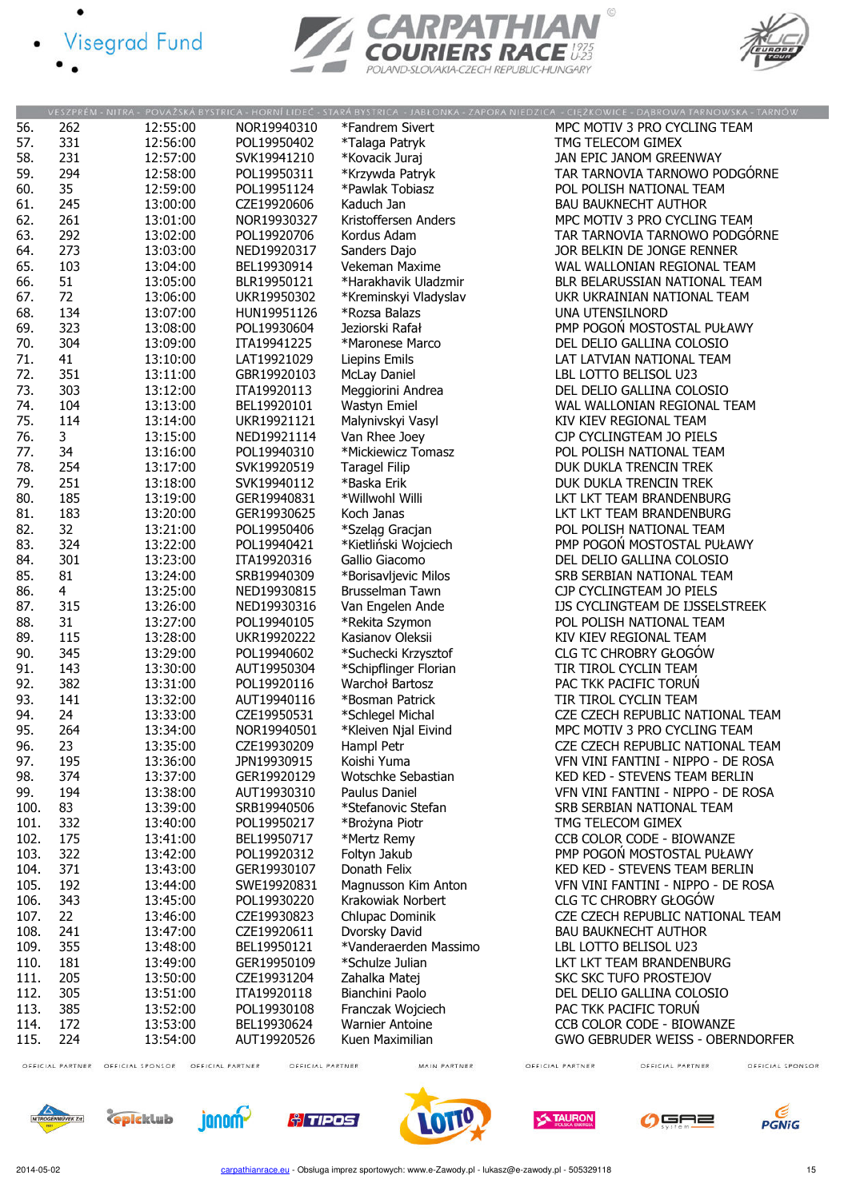





|      |                |          |             |                        | VESZPRÉM - NITRA - POVAŽSKÁ BYSTRICA - HORNÍ LIDEČ - STARÁ BYSTRICA - JABŁONKA - ZAPORA NIEDZICA - CIĘŻKOWICE - DĄBROWA TARNOWSKA - TARNÓW |
|------|----------------|----------|-------------|------------------------|--------------------------------------------------------------------------------------------------------------------------------------------|
| 56.  | 262            | 12:55:00 | NOR19940310 | *Fandrem Sivert        | MPC MOTIV 3 PRO CYCLING TEAM                                                                                                               |
| 57.  | 331            | 12:56:00 | POL19950402 | *Talaga Patryk         | TMG TELECOM GIMEX                                                                                                                          |
| 58.  | 231            | 12:57:00 | SVK19941210 | *Kovacik Juraj         | JAN EPIC JANOM GREENWAY                                                                                                                    |
| 59.  | 294            | 12:58:00 | POL19950311 | *Krzywda Patryk        | TAR TARNOVIA TARNOWO PODGÓRNE                                                                                                              |
| 60.  | 35             | 12:59:00 | POL19951124 | *Pawlak Tobiasz        | POL POLISH NATIONAL TEAM                                                                                                                   |
| 61.  | 245            | 13:00:00 | CZE19920606 | Kaduch Jan             | <b>BAU BAUKNECHT AUTHOR</b>                                                                                                                |
|      | 261            |          |             |                        |                                                                                                                                            |
| 62.  |                | 13:01:00 | NOR19930327 | Kristoffersen Anders   | MPC MOTIV 3 PRO CYCLING TEAM                                                                                                               |
| 63.  | 292            | 13:02:00 | POL19920706 | Kordus Adam            | TAR TARNOVIA TARNOWO PODGORNE                                                                                                              |
| 64.  | 273            | 13:03:00 | NED19920317 | Sanders Dajo           | JOR BELKIN DE JONGE RENNER                                                                                                                 |
| 65.  | 103            | 13:04:00 | BEL19930914 | Vekeman Maxime         | WAL WALLONIAN REGIONAL TEAM                                                                                                                |
| 66.  | 51             | 13:05:00 | BLR19950121 | *Harakhavik Uladzmir   | BLR BELARUSSIAN NATIONAL TEAM                                                                                                              |
| 67.  | 72             | 13:06:00 | UKR19950302 | *Kreminskyi Vladyslav  | UKR UKRAINIAN NATIONAL TEAM                                                                                                                |
| 68.  | 134            | 13:07:00 | HUN19951126 | *Rozsa Balazs          | UNA UTENSILNORD                                                                                                                            |
| 69.  | 323            | 13:08:00 | POL19930604 | Jeziorski Rafał        | PMP POGOŃ MOSTOSTAL PUŁAWY                                                                                                                 |
| 70.  | 304            | 13:09:00 | ITA19941225 | *Maronese Marco        | DEL DELIO GALLINA COLOSIO                                                                                                                  |
| 71.  | 41             | 13:10:00 | LAT19921029 | Liepins Emils          | LAT LATVIAN NATIONAL TEAM                                                                                                                  |
| 72.  | 351            | 13:11:00 | GBR19920103 | <b>McLay Daniel</b>    | LBL LOTTO BELISOL U23                                                                                                                      |
| 73.  | 303            | 13:12:00 | ITA19920113 | Meggiorini Andrea      | DEL DELIO GALLINA COLOSIO                                                                                                                  |
| 74.  | 104            |          |             |                        |                                                                                                                                            |
|      |                | 13:13:00 | BEL19920101 | Wastyn Emiel           | WAL WALLONIAN REGIONAL TEAM                                                                                                                |
| 75.  | 114            | 13:14:00 | UKR19921121 | Malynivskyi Vasyl      | KIV KIEV REGIONAL TEAM                                                                                                                     |
| 76.  | $\mathbf{3}$   | 13:15:00 | NED19921114 | Van Rhee Joey          | CJP CYCLINGTEAM JO PIELS                                                                                                                   |
| 77.  | 34             | 13:16:00 | POL19940310 | *Mickiewicz Tomasz     | POL POLISH NATIONAL TEAM                                                                                                                   |
| 78.  | 254            | 13:17:00 | SVK19920519 | <b>Taragel Filip</b>   | DUK DUKLA TRENCIN TREK                                                                                                                     |
| 79.  | 251            | 13:18:00 | SVK19940112 | *Baska Erik            | DUK DUKLA TRENCIN TREK                                                                                                                     |
| 80.  | 185            | 13:19:00 | GER19940831 | *Willwohl Willi        | LKT LKT TEAM BRANDENBURG                                                                                                                   |
| 81.  | 183            | 13:20:00 | GER19930625 | Koch Janas             | LKT LKT TEAM BRANDENBURG                                                                                                                   |
| 82.  | 32             | 13:21:00 | POL19950406 | *Szeląg Gracjan        | POL POLISH NATIONAL TEAM                                                                                                                   |
| 83.  | 324            | 13:22:00 | POL19940421 | *Kietliński Wojciech   | PMP POGON MOSTOSTAL PUŁAWY                                                                                                                 |
| 84.  | 301            | 13:23:00 | ITA19920316 | Gallio Giacomo         | DEL DELIO GALLINA COLOSIO                                                                                                                  |
| 85.  | 81             | 13:24:00 | SRB19940309 | *Borisavljevic Milos   | SRB SERBIAN NATIONAL TEAM                                                                                                                  |
| 86.  | $\overline{4}$ | 13:25:00 | NED19930815 | Brusselman Tawn        | CJP CYCLINGTEAM JO PIELS                                                                                                                   |
| 87.  | 315            | 13:26:00 | NED19930316 | Van Engelen Ande       | IJS CYCLINGTEAM DE IJSSELSTREEK                                                                                                            |
| 88.  | 31             |          | POL19940105 |                        | POL POLISH NATIONAL TEAM                                                                                                                   |
|      |                | 13:27:00 |             | *Rekita Szymon         |                                                                                                                                            |
| 89.  | 115            | 13:28:00 | UKR19920222 | Kasianov Oleksii       | KIV KIEV REGIONAL TEAM                                                                                                                     |
| 90.  | 345            | 13:29:00 | POL19940602 | *Suchecki Krzysztof    | <b>CLG TC CHROBRY GŁOGÓW</b>                                                                                                               |
| 91.  | 143            | 13:30:00 | AUT19950304 | *Schipflinger Florian  | TIR TIROL CYCLIN TEAM                                                                                                                      |
| 92.  | 382            | 13:31:00 | POL19920116 | Warchoł Bartosz        | PAC TKK PACIFIC TORUN                                                                                                                      |
| 93.  | 141            | 13:32:00 | AUT19940116 | *Bosman Patrick        | TIR TIROL CYCLIN TEAM                                                                                                                      |
| 94.  | 24             | 13:33:00 | CZE19950531 | *Schlegel Michal       | CZE CZECH REPUBLIC NATIONAL TEAM                                                                                                           |
| 95.  | 264            | 13:34:00 | NOR19940501 | *Kleiven Njal Eivind   | MPC MOTIV 3 PRO CYCLING TEAM                                                                                                               |
| 96.  | 23             | 13:35:00 | CZE19930209 | Hampl Petr             | CZE CZECH REPUBLIC NATIONAL TEAM                                                                                                           |
| 97.  | 195            | 13:36:00 | JPN19930915 | Koishi Yuma            | VFN VINI FANTINI - NIPPO - DE ROSA                                                                                                         |
| 98.  | 374            | 13:37:00 | GER19920129 | Wotschke Sebastian     | KED KED - STEVENS TEAM BERLIN                                                                                                              |
| 99.  | 194            | 13:38:00 | AUT19930310 | Paulus Daniel          | VFN VINI FANTINI - NIPPO - DE ROSA                                                                                                         |
| 100. | 83             | 13:39:00 | SRB19940506 | *Stefanovic Stefan     | SRB SERBIAN NATIONAL TEAM                                                                                                                  |
| 101. | 332            | 13:40:00 | POL19950217 | *Brożyna Piotr         | TMG TELECOM GIMEX                                                                                                                          |
| 102. | 175            | 13:41:00 | BEL19950717 | *Mertz Remy            | CCB COLOR CODE - BIOWANZE                                                                                                                  |
| 103. | 322            | 13:42:00 | POL19920312 | Foltyn Jakub           | PMP POGOŃ MOSTOSTAL PUŁAWY                                                                                                                 |
|      |                |          |             |                        |                                                                                                                                            |
| 104. | 371            | 13:43:00 | GER19930107 | Donath Felix           | KED KED - STEVENS TEAM BERLIN                                                                                                              |
| 105. | 192            | 13:44:00 | SWE19920831 | Magnusson Kim Anton    | VFN VINI FANTINI - NIPPO - DE ROSA                                                                                                         |
| 106. | 343            | 13:45:00 | POL19930220 | Krakowiak Norbert      | <b>CLG TC CHROBRY GŁOGÓW</b>                                                                                                               |
| 107. | 22             | 13:46:00 | CZE19930823 | Chlupac Dominik        | CZE CZECH REPUBLIC NATIONAL TEAM                                                                                                           |
| 108. | 241            | 13:47:00 | CZE19920611 | Dvorsky David          | <b>BAU BAUKNECHT AUTHOR</b>                                                                                                                |
| 109. | 355            | 13:48:00 | BEL19950121 | *Vanderaerden Massimo  | LBL LOTTO BELISOL U23                                                                                                                      |
| 110. | 181            | 13:49:00 | GER19950109 | *Schulze Julian        | LKT LKT TEAM BRANDENBURG                                                                                                                   |
| 111. | 205            | 13:50:00 | CZE19931204 | Zahalka Matej          | SKC SKC TUFO PROSTEJOV                                                                                                                     |
| 112. | 305            | 13:51:00 | ITA19920118 | Bianchini Paolo        | DEL DELIO GALLINA COLOSIO                                                                                                                  |
| 113. | 385            | 13:52:00 | POL19930108 | Franczak Wojciech      | PAC TKK PACIFIC TORUN                                                                                                                      |
| 114. | 172            | 13:53:00 | BEL19930624 | <b>Warnier Antoine</b> | CCB COLOR CODE - BIOWANZE                                                                                                                  |
| 115. | 224            | 13:54:00 | AUT19920526 | Kuen Maximilian        | <b>GWO GEBRUDER WEISS - OBERNDORFER</b>                                                                                                    |
|      |                |          |             |                        |                                                                                                                                            |

OFFICIAL PARTNER OFFICIAL SPONSOR OFFICIAL PARTNER

OFFICIAL PARTNER

MAIN PARTNER